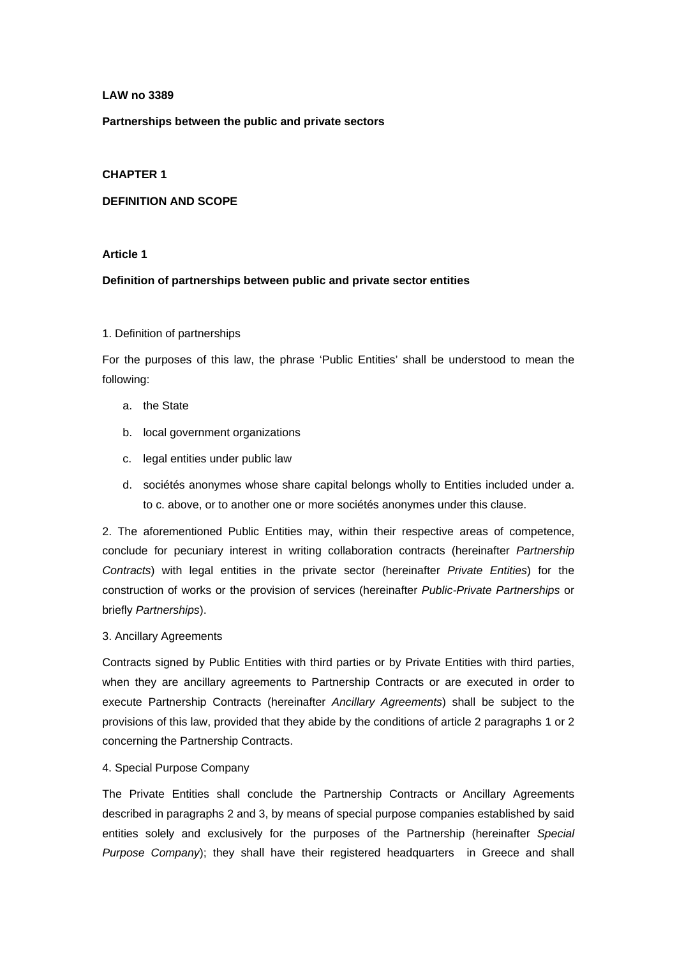## **LAW no 3389**

**Partnerships between the public and private sectors** 

## **CHAPTER 1**

## **DEFINITION AND SCOPE**

### **Article 1**

## **Definition of partnerships between public and private sector entities**

## 1. Definition of partnerships

For the purposes of this law, the phrase 'Public Entities' shall be understood to mean the following:

- a. the State
- b. local government organizations
- c. legal entities under public law
- d. sociétés anonymes whose share capital belongs wholly to Entities included under a. to c. above, or to another one or more sociétés anonymes under this clause.

2. The aforementioned Public Entities may, within their respective areas of competence, conclude for pecuniary interest in writing collaboration contracts (hereinafter *Partnership Contracts*) with legal entities in the private sector (hereinafter *Private Entities*) for the construction of works or the provision of services (hereinafter *Public-Private Partnerships* or briefly *Partnerships*).

### 3. Ancillary Agreements

Contracts signed by Public Entities with third parties or by Private Entities with third parties, when they are ancillary agreements to Partnership Contracts or are executed in order to execute Partnership Contracts (hereinafter *Ancillary Agreements*) shall be subject to the provisions of this law, provided that they abide by the conditions of article 2 paragraphs 1 or 2 concerning the Partnership Contracts.

### 4. Special Purpose Company

The Private Entities shall conclude the Partnership Contracts or Ancillary Agreements described in paragraphs 2 and 3, by means of special purpose companies established by said entities solely and exclusively for the purposes of the Partnership (hereinafter *Special Purpose Company*); they shall have their registered headquarters in Greece and shall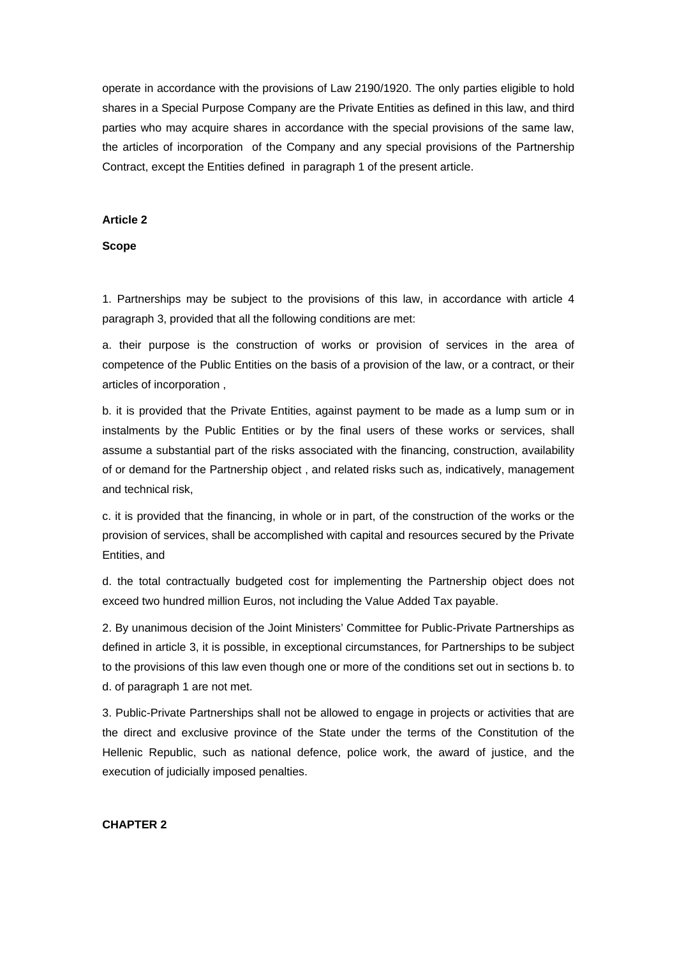operate in accordance with the provisions of Law 2190/1920. The only parties eligible to hold shares in a Special Purpose Company are the Private Entities as defined in this law, and third parties who may acquire shares in accordance with the special provisions of the same law, the articles of incorporation of the Company and any special provisions of the Partnership Contract, except the Entities defined in paragraph 1 of the present article.

### **Article 2**

### **Scope**

1. Partnerships may be subject to the provisions of this law, in accordance with article 4 paragraph 3, provided that all the following conditions are met:

a. their purpose is the construction of works or provision of services in the area of competence of the Public Entities on the basis of a provision of the law, or a contract, or their articles of incorporation ,

b. it is provided that the Private Entities, against payment to be made as a lump sum or in instalments by the Public Entities or by the final users of these works or services, shall assume a substantial part of the risks associated with the financing, construction, availability of or demand for the Partnership object , and related risks such as, indicatively, management and technical risk,

c. it is provided that the financing, in whole or in part, of the construction of the works or the provision of services, shall be accomplished with capital and resources secured by the Private Entities, and

d. the total contractually budgeted cost for implementing the Partnership object does not exceed two hundred million Euros, not including the Value Added Tax payable.

2. By unanimous decision of the Joint Ministers' Committee for Public-Private Partnerships as defined in article 3, it is possible, in exceptional circumstances, for Partnerships to be subject to the provisions of this law even though one or more of the conditions set out in sections b. to d. of paragraph 1 are not met.

3. Public-Private Partnerships shall not be allowed to engage in projects or activities that are the direct and exclusive province of the State under the terms of the Constitution of the Hellenic Republic, such as national defence, police work, the award of justice, and the execution of judicially imposed penalties.

## **CHAPTER 2**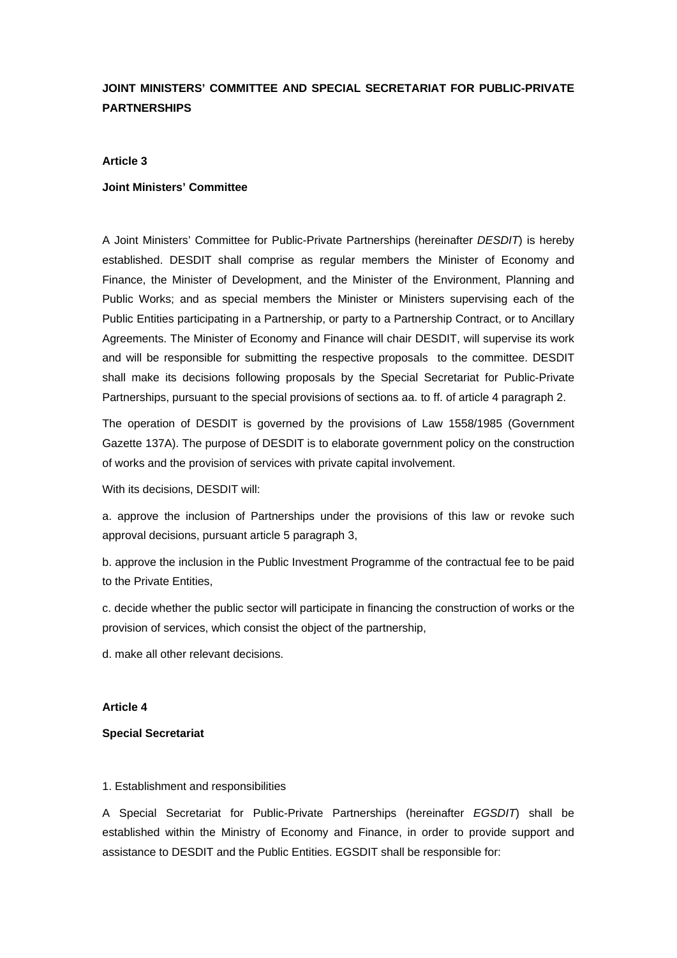# **JOINT MINISTERS' COMMITTEE AND SPECIAL SECRETARIAT FOR PUBLIC-PRIVATE PARTNERSHIPS**

### **Article 3**

### **Joint Ministers' Committee**

A Joint Ministers' Committee for Public-Private Partnerships (hereinafter *DESDIT*) is hereby established. DESDIT shall comprise as regular members the Minister of Economy and Finance, the Minister of Development, and the Minister of the Environment, Planning and Public Works; and as special members the Minister or Ministers supervising each of the Public Entities participating in a Partnership, or party to a Partnership Contract, or to Ancillary Agreements. The Minister of Economy and Finance will chair DESDIT, will supervise its work and will be responsible for submitting the respective proposals to the committee. DESDIT shall make its decisions following proposals by the Special Secretariat for Public-Private Partnerships, pursuant to the special provisions of sections aa. to ff. of article 4 paragraph 2.

The operation of DESDIT is governed by the provisions of Law 1558/1985 (Government Gazette 137A). The purpose of DESDIT is to elaborate government policy on the construction of works and the provision of services with private capital involvement.

With its decisions, DESDIT will:

a. approve the inclusion of Partnerships under the provisions of this law or revoke such approval decisions, pursuant article 5 paragraph 3,

b. approve the inclusion in the Public Investment Programme of the contractual fee to be paid to the Private Entities,

c. decide whether the public sector will participate in financing the construction of works or the provision of services, which consist the object of the partnership,

d. make all other relevant decisions.

## **Article 4**

#### **Special Secretariat**

#### 1. Establishment and responsibilities

A Special Secretariat for Public-Private Partnerships (hereinafter *EGSDIT*) shall be established within the Ministry of Economy and Finance, in order to provide support and assistance to DESDIT and the Public Entities. EGSDIT shall be responsible for: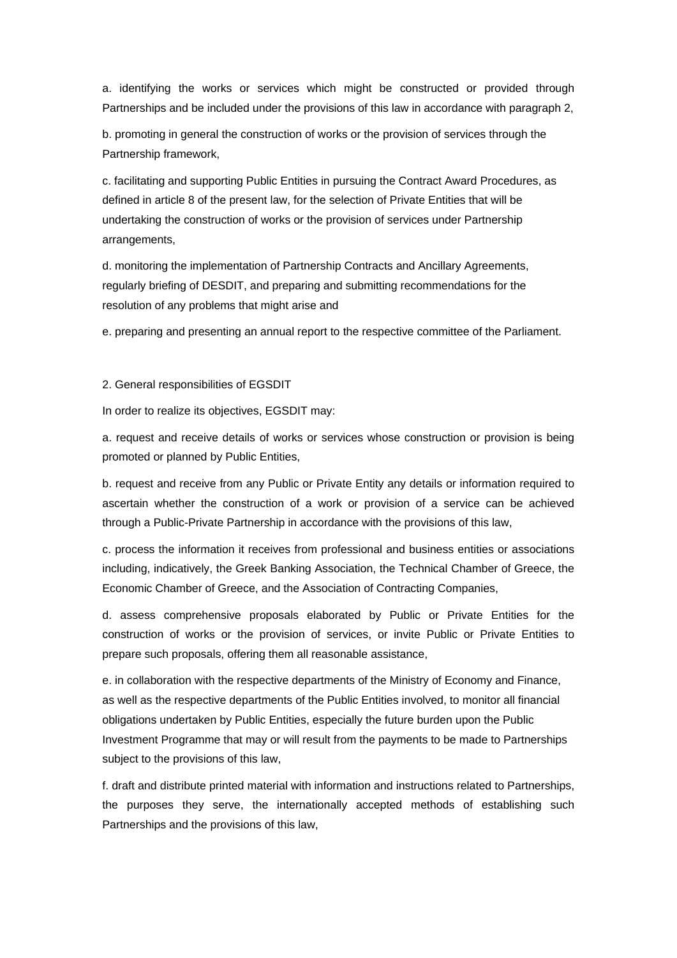a. identifying the works or services which might be constructed or provided through Partnerships and be included under the provisions of this law in accordance with paragraph 2,

b. promoting in general the construction of works or the provision of services through the Partnership framework,

c. facilitating and supporting Public Entities in pursuing the Contract Award Procedures, as defined in article 8 of the present law, for the selection of Private Entities that will be undertaking the construction of works or the provision of services under Partnership arrangements,

d. monitoring the implementation of Partnership Contracts and Ancillary Agreements, regularly briefing of DESDIT, and preparing and submitting recommendations for the resolution of any problems that might arise and

e. preparing and presenting an annual report to the respective committee of the Parliament.

2. General responsibilities of EGSDIT

In order to realize its objectives, EGSDIT may:

a. request and receive details of works or services whose construction or provision is being promoted or planned by Public Entities,

b. request and receive from any Public or Private Entity any details or information required to ascertain whether the construction of a work or provision of a service can be achieved through a Public-Private Partnership in accordance with the provisions of this law,

c. process the information it receives from professional and business entities or associations including, indicatively, the Greek Banking Association, the Technical Chamber of Greece, the Economic Chamber of Greece, and the Association of Contracting Companies,

d. assess comprehensive proposals elaborated by Public or Private Entities for the construction of works or the provision of services, or invite Public or Private Entities to prepare such proposals, offering them all reasonable assistance,

e. in collaboration with the respective departments of the Ministry of Economy and Finance, as well as the respective departments of the Public Entities involved, to monitor all financial obligations undertaken by Public Entities, especially the future burden upon the Public Investment Programme that may or will result from the payments to be made to Partnerships subject to the provisions of this law,

f. draft and distribute printed material with information and instructions related to Partnerships, the purposes they serve, the internationally accepted methods of establishing such Partnerships and the provisions of this law,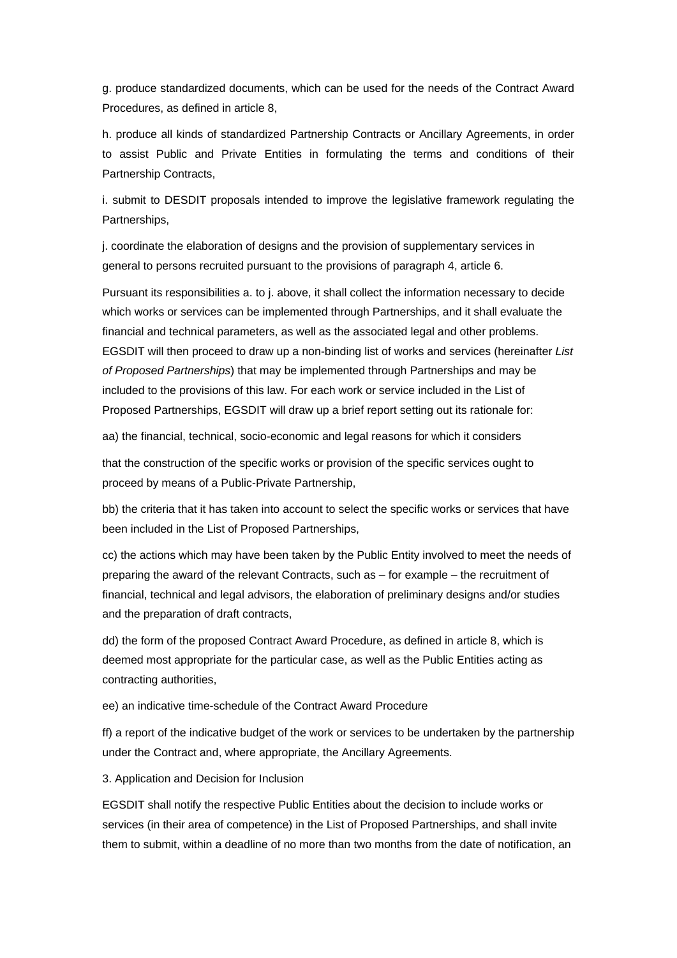g. produce standardized documents, which can be used for the needs of the Contract Award Procedures, as defined in article 8,

h. produce all kinds of standardized Partnership Contracts or Ancillary Agreements, in order to assist Public and Private Entities in formulating the terms and conditions of their Partnership Contracts,

i. submit to DESDIT proposals intended to improve the legislative framework regulating the Partnerships,

j. coordinate the elaboration of designs and the provision of supplementary services in general to persons recruited pursuant to the provisions of paragraph 4, article 6.

Pursuant its responsibilities a. to j. above, it shall collect the information necessary to decide which works or services can be implemented through Partnerships, and it shall evaluate the financial and technical parameters, as well as the associated legal and other problems. EGSDIT will then proceed to draw up a non-binding list of works and services (hereinafter *List of Proposed Partnerships*) that may be implemented through Partnerships and may be included to the provisions of this law. For each work or service included in the List of Proposed Partnerships, EGSDIT will draw up a brief report setting out its rationale for:

aa) the financial, technical, socio-economic and legal reasons for which it considers

that the construction of the specific works or provision of the specific services ought to proceed by means of a Public-Private Partnership,

bb) the criteria that it has taken into account to select the specific works or services that have been included in the List of Proposed Partnerships,

cc) the actions which may have been taken by the Public Entity involved to meet the needs of preparing the award of the relevant Contracts, such as – for example – the recruitment of financial, technical and legal advisors, the elaboration of preliminary designs and/or studies and the preparation of draft contracts,

dd) the form of the proposed Contract Award Procedure, as defined in article 8, which is deemed most appropriate for the particular case, as well as the Public Entities acting as contracting authorities,

ee) an indicative time-schedule of the Contract Award Procedure

ff) a report of the indicative budget of the work or services to be undertaken by the partnership under the Contract and, where appropriate, the Ancillary Agreements.

3. Application and Decision for Inclusion

EGSDIT shall notify the respective Public Entities about the decision to include works or services (in their area of competence) in the List of Proposed Partnerships, and shall invite them to submit, within a deadline of no more than two months from the date of notification, an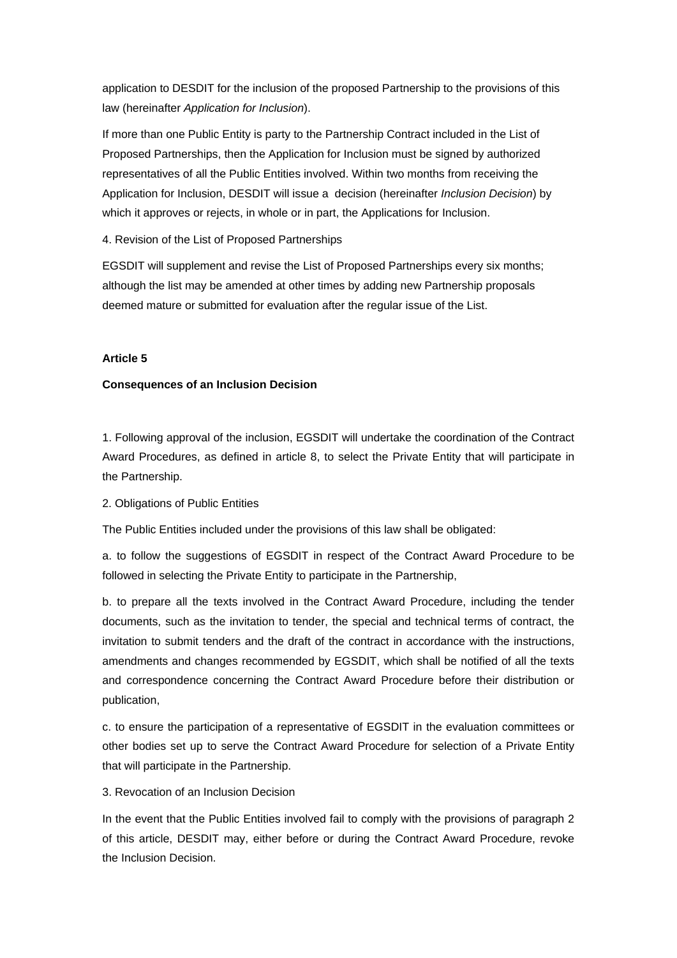application to DESDIT for the inclusion of the proposed Partnership to the provisions of this law (hereinafter *Application for Inclusion*).

If more than one Public Entity is party to the Partnership Contract included in the List of Proposed Partnerships, then the Application for Inclusion must be signed by authorized representatives of all the Public Entities involved. Within two months from receiving the Application for Inclusion, DESDIT will issue a decision (hereinafter *Inclusion Decision*) by which it approves or rejects, in whole or in part, the Applications for Inclusion.

4. Revision of the List of Proposed Partnerships

EGSDIT will supplement and revise the List of Proposed Partnerships every six months; although the list may be amended at other times by adding new Partnership proposals deemed mature or submitted for evaluation after the regular issue of the List.

## **Article 5**

## **Consequences of an Inclusion Decision**

1. Following approval of the inclusion, EGSDIT will undertake the coordination of the Contract Award Procedures, as defined in article 8, to select the Private Entity that will participate in the Partnership.

## 2. Obligations of Public Entities

The Public Entities included under the provisions of this law shall be obligated:

a. to follow the suggestions of EGSDIT in respect of the Contract Award Procedure to be followed in selecting the Private Entity to participate in the Partnership,

b. to prepare all the texts involved in the Contract Award Procedure, including the tender documents, such as the invitation to tender, the special and technical terms of contract, the invitation to submit tenders and the draft of the contract in accordance with the instructions, amendments and changes recommended by EGSDIT, which shall be notified of all the texts and correspondence concerning the Contract Award Procedure before their distribution or publication,

c. to ensure the participation of a representative of EGSDIT in the evaluation committees or other bodies set up to serve the Contract Award Procedure for selection of a Private Entity that will participate in the Partnership.

## 3. Revocation of an Inclusion Decision

In the event that the Public Entities involved fail to comply with the provisions of paragraph 2 of this article, DESDIT may, either before or during the Contract Award Procedure, revoke the Inclusion Decision.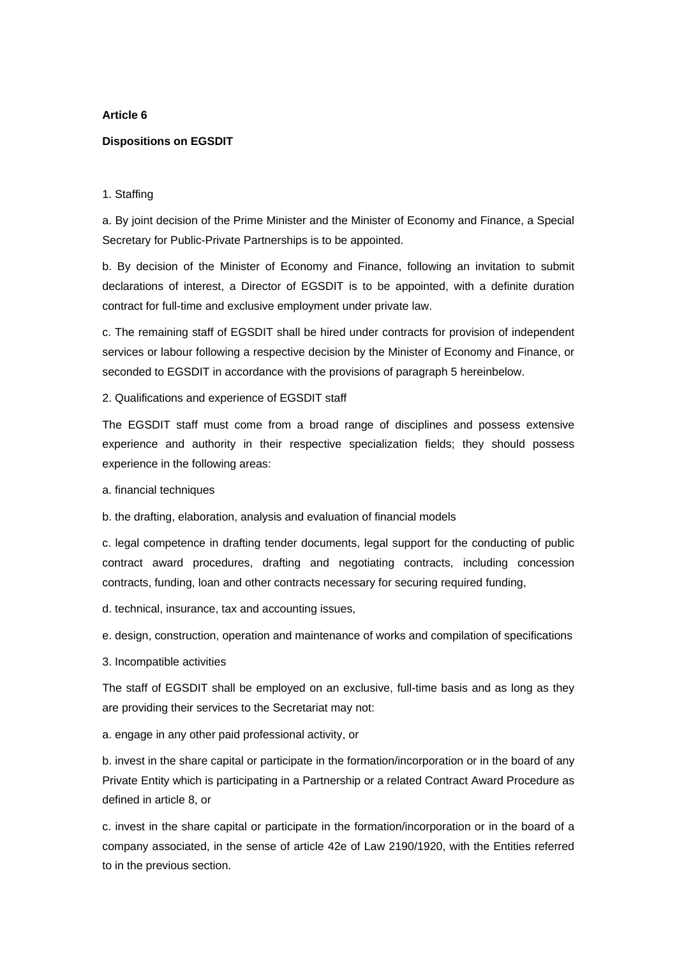## **Article 6**

## **Dispositions on EGSDIT**

## 1. Staffing

a. By joint decision of the Prime Minister and the Minister of Economy and Finance, a Special Secretary for Public-Private Partnerships is to be appointed.

b. By decision of the Minister of Economy and Finance, following an invitation to submit declarations of interest, a Director of EGSDIT is to be appointed, with a definite duration contract for full-time and exclusive employment under private law.

c. The remaining staff of EGSDIT shall be hired under contracts for provision of independent services or labour following a respective decision by the Minister of Economy and Finance, or seconded to EGSDIT in accordance with the provisions of paragraph 5 hereinbelow.

## 2. Qualifications and experience of EGSDIT staff

The EGSDIT staff must come from a broad range of disciplines and possess extensive experience and authority in their respective specialization fields; they should possess experience in the following areas:

a. financial techniques

b. the drafting, elaboration, analysis and evaluation of financial models

c. legal competence in drafting tender documents, legal support for the conducting of public contract award procedures, drafting and negotiating contracts, including concession contracts, funding, loan and other contracts necessary for securing required funding,

d. technical, insurance, tax and accounting issues,

e. design, construction, operation and maintenance of works and compilation of specifications

3. Incompatible activities

The staff of EGSDIT shall be employed on an exclusive, full-time basis and as long as they are providing their services to the Secretariat may not:

a. engage in any other paid professional activity, or

b. invest in the share capital or participate in the formation/incorporation or in the board of any Private Entity which is participating in a Partnership or a related Contract Award Procedure as defined in article 8, or

c. invest in the share capital or participate in the formation/incorporation or in the board of a company associated, in the sense of article 42e of Law 2190/1920, with the Entities referred to in the previous section.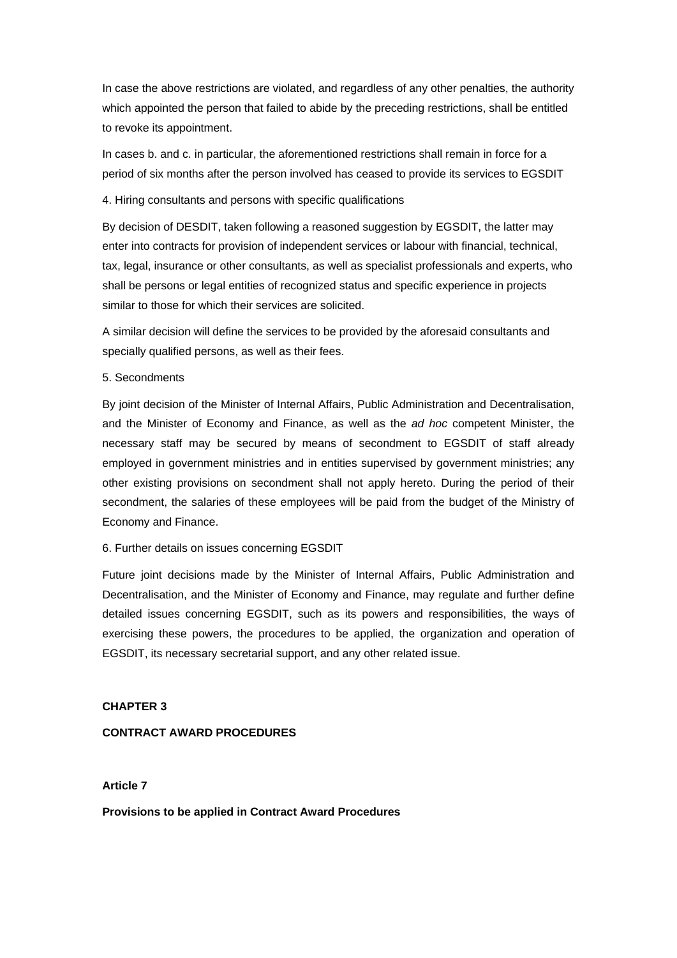In case the above restrictions are violated, and regardless of any other penalties, the authority which appointed the person that failed to abide by the preceding restrictions, shall be entitled to revoke its appointment.

In cases b. and c. in particular, the aforementioned restrictions shall remain in force for a period of six months after the person involved has ceased to provide its services to EGSDIT

## 4. Hiring consultants and persons with specific qualifications

By decision of DESDIT, taken following a reasoned suggestion by EGSDIT, the latter may enter into contracts for provision of independent services or labour with financial, technical, tax, legal, insurance or other consultants, as well as specialist professionals and experts, who shall be persons or legal entities of recognized status and specific experience in projects similar to those for which their services are solicited.

A similar decision will define the services to be provided by the aforesaid consultants and specially qualified persons, as well as their fees.

## 5. Secondments

By joint decision of the Minister of Internal Affairs, Public Administration and Decentralisation, and the Minister of Economy and Finance, as well as the *ad hoc* competent Minister, the necessary staff may be secured by means of secondment to EGSDIT of staff already employed in government ministries and in entities supervised by government ministries; any other existing provisions on secondment shall not apply hereto. During the period of their secondment, the salaries of these employees will be paid from the budget of the Ministry of Economy and Finance.

### 6. Further details on issues concerning EGSDIT

Future joint decisions made by the Minister of Internal Affairs, Public Administration and Decentralisation, and the Minister of Economy and Finance, may regulate and further define detailed issues concerning EGSDIT, such as its powers and responsibilities, the ways of exercising these powers, the procedures to be applied, the organization and operation of EGSDIT, its necessary secretarial support, and any other related issue.

## **CHAPTER 3**

## **CONTRACT AWARD PROCEDURES**

### **Article 7**

**Provisions to be applied in Contract Award Procedures**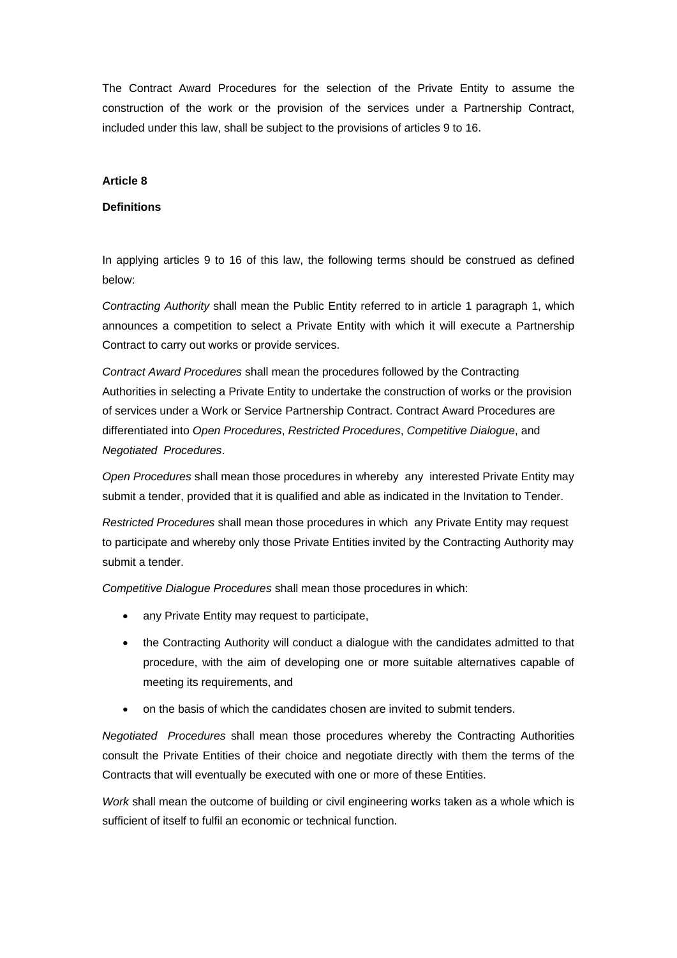The Contract Award Procedures for the selection of the Private Entity to assume the construction of the work or the provision of the services under a Partnership Contract, included under this law, shall be subject to the provisions of articles 9 to 16.

### **Article 8**

## **Definitions**

In applying articles 9 to 16 of this law, the following terms should be construed as defined below:

*Contracting Authority* shall mean the Public Entity referred to in article 1 paragraph 1, which announces a competition to select a Private Entity with which it will execute a Partnership Contract to carry out works or provide services.

*Contract Award Procedures* shall mean the procedures followed by the Contracting Authorities in selecting a Private Entity to undertake the construction of works or the provision of services under a Work or Service Partnership Contract. Contract Award Procedures are differentiated into *Open Procedures*, *Restricted Procedures*, *Competitive Dialogue*, and *Negotiated Procedures*.

*Open Procedures* shall mean those procedures in whereby any interested Private Entity may submit a tender, provided that it is qualified and able as indicated in the Invitation to Tender.

*Restricted Procedures* shall mean those procedures in which any Private Entity may request to participate and whereby only those Private Entities invited by the Contracting Authority may submit a tender.

*Competitive Dialogue Procedures* shall mean those procedures in which:

- any Private Entity may request to participate,
- the Contracting Authority will conduct a dialogue with the candidates admitted to that procedure, with the aim of developing one or more suitable alternatives capable of meeting its requirements, and
- on the basis of which the candidates chosen are invited to submit tenders.

*Negotiated Procedures* shall mean those procedures whereby the Contracting Authorities consult the Private Entities of their choice and negotiate directly with them the terms of the Contracts that will eventually be executed with one or more of these Entities.

*Work* shall mean the outcome of building or civil engineering works taken as a whole which is sufficient of itself to fulfil an economic or technical function.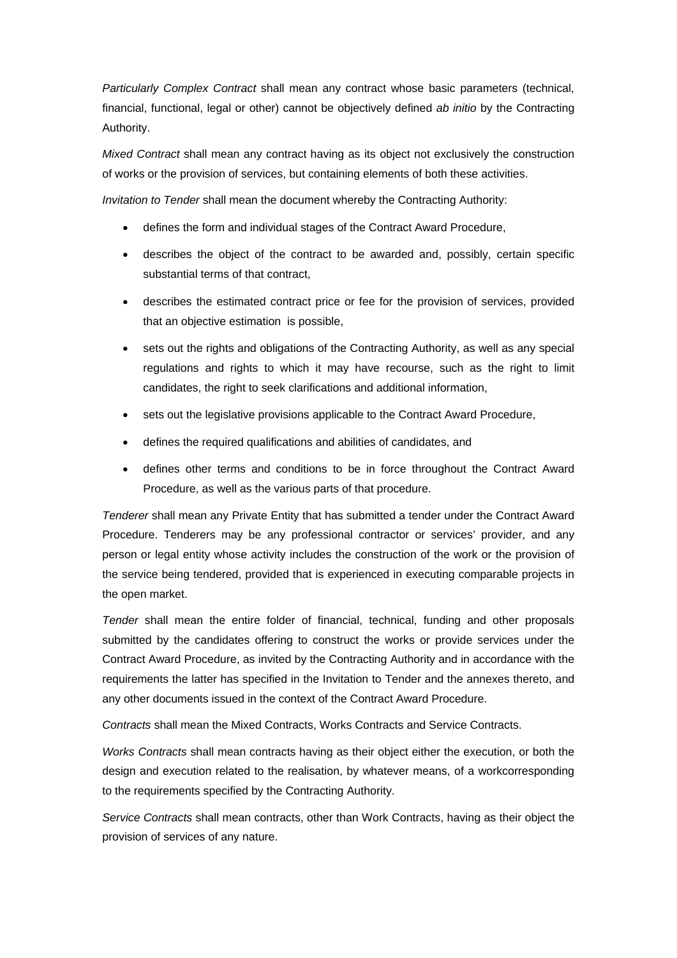*Particularly Complex Contract* shall mean any contract whose basic parameters (technical, financial, functional, legal or other) cannot be objectively defined *ab initio* by the Contracting Authority.

*Mixed Contract* shall mean any contract having as its object not exclusively the construction of works or the provision of services, but containing elements of both these activities.

*Invitation to Tender* shall mean the document whereby the Contracting Authority:

- defines the form and individual stages of the Contract Award Procedure,
- describes the object of the contract to be awarded and, possibly, certain specific substantial terms of that contract,
- describes the estimated contract price or fee for the provision of services, provided that an objective estimation is possible,
- sets out the rights and obligations of the Contracting Authority, as well as any special regulations and rights to which it may have recourse, such as the right to limit candidates, the right to seek clarifications and additional information,
- sets out the legislative provisions applicable to the Contract Award Procedure,
- defines the required qualifications and abilities of candidates, and
- defines other terms and conditions to be in force throughout the Contract Award Procedure, as well as the various parts of that procedure.

*Tenderer* shall mean any Private Entity that has submitted a tender under the Contract Award Procedure. Tenderers may be any professional contractor or services' provider, and any person or legal entity whose activity includes the construction of the work or the provision of the service being tendered, provided that is experienced in executing comparable projects in the open market.

*Tender* shall mean the entire folder of financial, technical, funding and other proposals submitted by the candidates offering to construct the works or provide services under the Contract Award Procedure, as invited by the Contracting Authority and in accordance with the requirements the latter has specified in the Invitation to Tender and the annexes thereto, and any other documents issued in the context of the Contract Award Procedure.

*Contracts* shall mean the Mixed Contracts, Works Contracts and Service Contracts.

*Works Contracts* shall mean contracts having as their object either the execution, or both the design and execution related to the realisation, by whatever means, of a workcorresponding to the requirements specified by the Contracting Authority.

*Service Contracts* shall mean contracts, other than Work Contracts, having as their object the provision of services of any nature.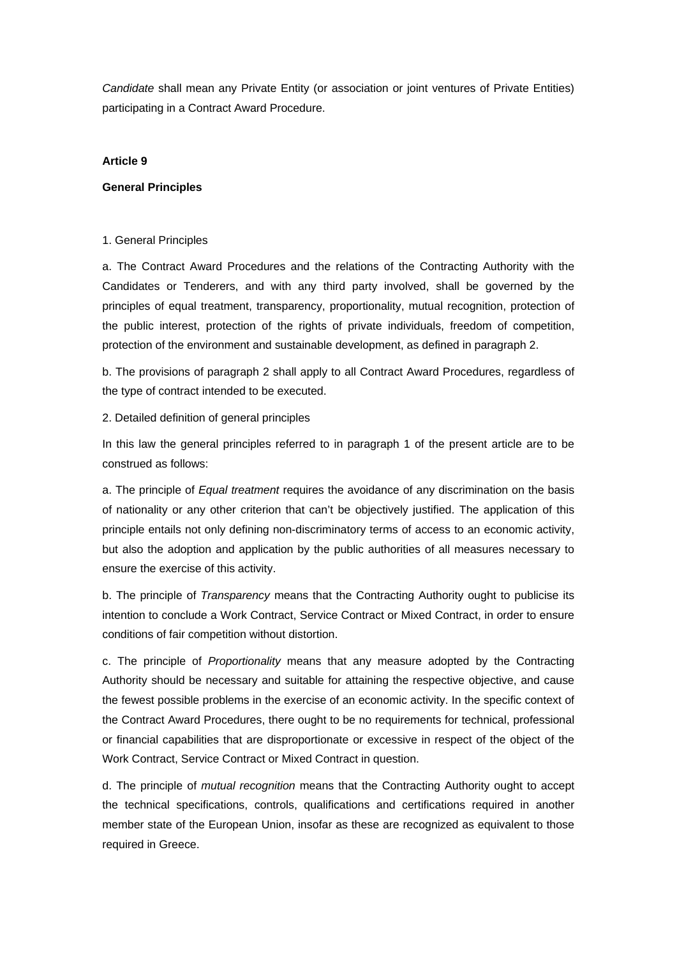*Candidate* shall mean any Private Entity (or association or joint ventures of Private Entities) participating in a Contract Award Procedure.

## **Article 9**

## **General Principles**

## 1. General Principles

a. The Contract Award Procedures and the relations of the Contracting Authority with the Candidates or Tenderers, and with any third party involved, shall be governed by the principles of equal treatment, transparency, proportionality, mutual recognition, protection of the public interest, protection of the rights of private individuals, freedom of competition, protection of the environment and sustainable development, as defined in paragraph 2.

b. The provisions of paragraph 2 shall apply to all Contract Award Procedures, regardless of the type of contract intended to be executed.

## 2. Detailed definition of general principles

In this law the general principles referred to in paragraph 1 of the present article are to be construed as follows:

a. The principle of *Equal treatment* requires the avoidance of any discrimination on the basis of nationality or any other criterion that can't be objectively justified. The application of this principle entails not only defining non-discriminatory terms of access to an economic activity, but also the adoption and application by the public authorities of all measures necessary to ensure the exercise of this activity.

b. The principle of *Transparency* means that the Contracting Authority ought to publicise its intention to conclude a Work Contract, Service Contract or Mixed Contract, in order to ensure conditions of fair competition without distortion.

c. The principle of *Proportionality* means that any measure adopted by the Contracting Authority should be necessary and suitable for attaining the respective objective, and cause the fewest possible problems in the exercise of an economic activity. In the specific context of the Contract Award Procedures, there ought to be no requirements for technical, professional or financial capabilities that are disproportionate or excessive in respect of the object of the Work Contract, Service Contract or Mixed Contract in question.

d. The principle of *mutual recognition* means that the Contracting Authority ought to accept the technical specifications, controls, qualifications and certifications required in another member state of the European Union, insofar as these are recognized as equivalent to those required in Greece.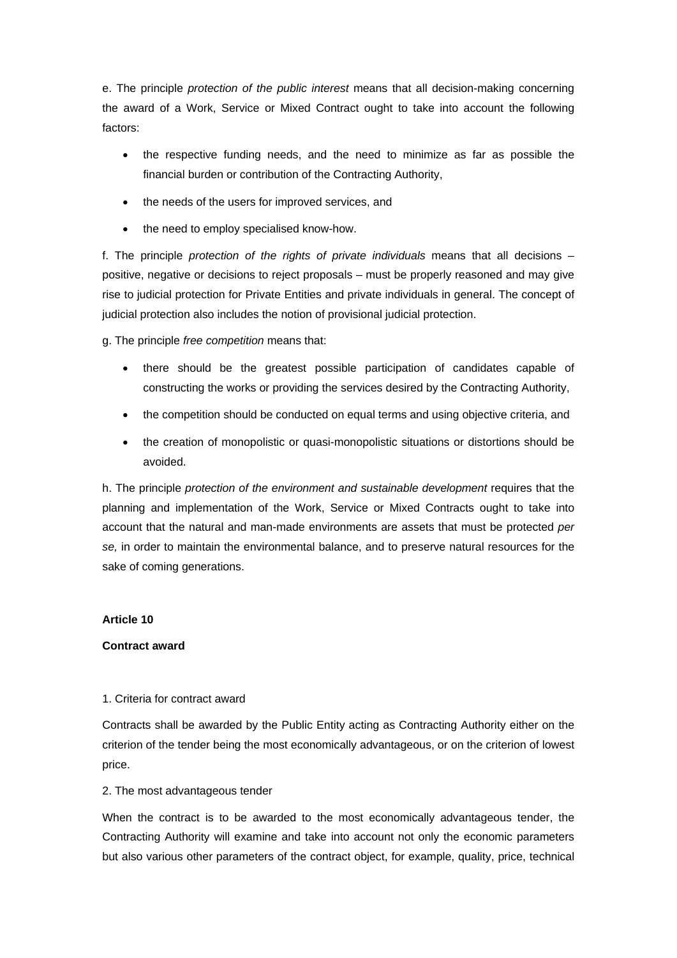e. The principle *protection of the public interest* means that all decision-making concerning the award of a Work, Service or Mixed Contract ought to take into account the following factors:

- the respective funding needs, and the need to minimize as far as possible the financial burden or contribution of the Contracting Authority,
- the needs of the users for improved services, and
- the need to employ specialised know-how.

f. The principle *protection of the rights of private individuals* means that all decisions – positive, negative or decisions to reject proposals – must be properly reasoned and may give rise to judicial protection for Private Entities and private individuals in general. The concept of judicial protection also includes the notion of provisional judicial protection.

g. The principle *free competition* means that:

- there should be the greatest possible participation of candidates capable of constructing the works or providing the services desired by the Contracting Authority,
- the competition should be conducted on equal terms and using objective criteria, and
- the creation of monopolistic or quasi-monopolistic situations or distortions should be avoided.

h. The principle *protection of the environment and sustainable development* requires that the planning and implementation of the Work, Service or Mixed Contracts ought to take into account that the natural and man-made environments are assets that must be protected *per se,* in order to maintain the environmental balance, and to preserve natural resources for the sake of coming generations.

## **Article 10**

## **Contract award**

## 1. Criteria for contract award

Contracts shall be awarded by the Public Entity acting as Contracting Authority either on the criterion of the tender being the most economically advantageous, or on the criterion of lowest price.

## 2. The most advantageous tender

When the contract is to be awarded to the most economically advantageous tender, the Contracting Authority will examine and take into account not only the economic parameters but also various other parameters of the contract object, for example, quality, price, technical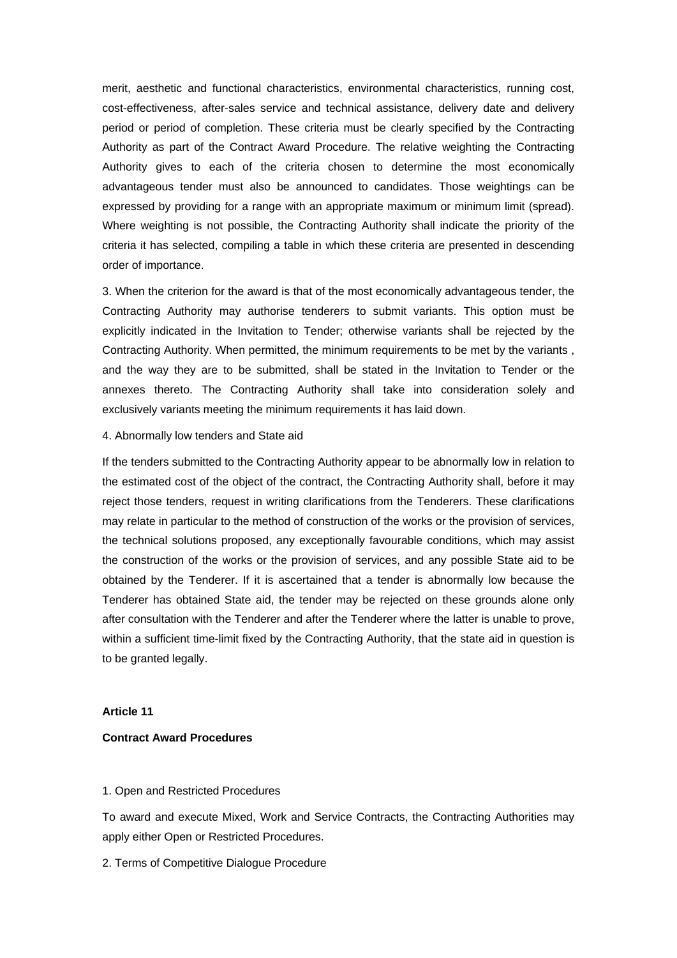merit, aesthetic and functional characteristics, environmental characteristics, running cost, cost-effectiveness, after-sales service and technical assistance, delivery date and delivery period or period of completion. These criteria must be clearly specified by the Contracting Authority as part of the Contract Award Procedure. The relative weighting the Contracting Authority gives to each of the criteria chosen to determine the most economically advantageous tender must also be announced to candidates. Those weightings can be expressed by providing for a range with an appropriate maximum or minimum limit (spread). Where weighting is not possible, the Contracting Authority shall indicate the priority of the criteria it has selected, compiling a table in which these criteria are presented in descending order of importance.

3. When the criterion for the award is that of the most economically advantageous tender, the Contracting Authority may authorise tenderers to submit variants. This option must be explicitly indicated in the Invitation to Tender; otherwise variants shall be rejected by the Contracting Authority. When permitted, the minimum requirements to be met by the variants , and the way they are to be submitted, shall be stated in the Invitation to Tender or the annexes thereto. The Contracting Authority shall take into consideration solely and exclusively variants meeting the minimum requirements it has laid down.

4. Abnormally low tenders and State aid

If the tenders submitted to the Contracting Authority appear to be abnormally low in relation to the estimated cost of the object of the contract, the Contracting Authority shall, before it may reject those tenders, request in writing clarifications from the Tenderers. These clarifications may relate in particular to the method of construction of the works or the provision of services, the technical solutions proposed, any exceptionally favourable conditions, which may assist the construction of the works or the provision of services, and any possible State aid to be obtained by the Tenderer. If it is ascertained that a tender is abnormally low because the Tenderer has obtained State aid, the tender may be rejected on these grounds alone only after consultation with the Tenderer and after the Tenderer where the latter is unable to prove, within a sufficient time-limit fixed by the Contracting Authority, that the state aid in question is to be granted legally.

#### **Article 11**

#### **Contract Award Procedures**

#### 1. Open and Restricted Procedures

To award and execute Mixed, Work and Service Contracts, the Contracting Authorities may apply either Open or Restricted Procedures.

2. Terms of Competitive Dialogue Procedure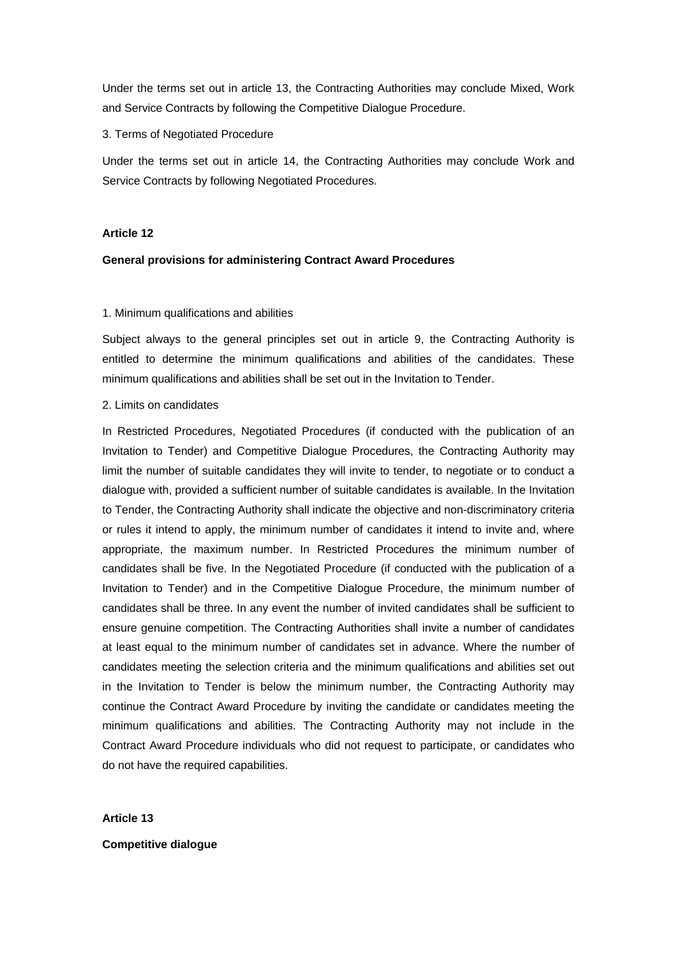Under the terms set out in article 13, the Contracting Authorities may conclude Mixed, Work and Service Contracts by following the Competitive Dialogue Procedure.

## 3. Terms of Negotiated Procedure

Under the terms set out in article 14, the Contracting Authorities may conclude Work and Service Contracts by following Negotiated Procedures.

## **Article 12**

## **General provisions for administering Contract Award Procedures**

## 1. Minimum qualifications and abilities

Subject always to the general principles set out in article 9, the Contracting Authority is entitled to determine the minimum qualifications and abilities of the candidates. These minimum qualifications and abilities shall be set out in the Invitation to Tender.

### 2. Limits on candidates

In Restricted Procedures, Negotiated Procedures (if conducted with the publication of an Invitation to Tender) and Competitive Dialogue Procedures, the Contracting Authority may limit the number of suitable candidates they will invite to tender, to negotiate or to conduct a dialogue with, provided a sufficient number of suitable candidates is available. In the Invitation to Tender, the Contracting Authority shall indicate the objective and non-discriminatory criteria or rules it intend to apply, the minimum number of candidates it intend to invite and, where appropriate, the maximum number. In Restricted Procedures the minimum number of candidates shall be five. In the Negotiated Procedure (if conducted with the publication of a Invitation to Tender) and in the Competitive Dialogue Procedure, the minimum number of candidates shall be three. In any event the number of invited candidates shall be sufficient to ensure genuine competition. The Contracting Authorities shall invite a number of candidates at least equal to the minimum number of candidates set in advance. Where the number of candidates meeting the selection criteria and the minimum qualifications and abilities set out in the Invitation to Tender is below the minimum number, the Contracting Authority may continue the Contract Award Procedure by inviting the candidate or candidates meeting the minimum qualifications and abilities. The Contracting Authority may not include in the Contract Award Procedure individuals who did not request to participate, or candidates who do not have the required capabilities.

**Article 13** 

### **Competitive dialogue**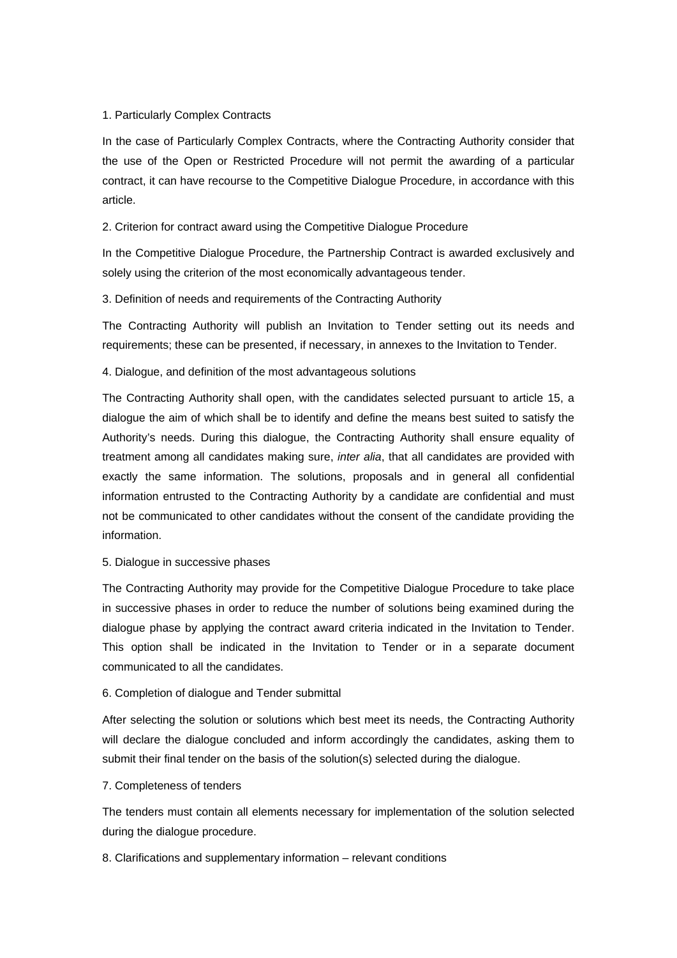## 1. Particularly Complex Contracts

In the case of Particularly Complex Contracts, where the Contracting Authority consider that the use of the Open or Restricted Procedure will not permit the awarding of a particular contract, it can have recourse to the Competitive Dialogue Procedure, in accordance with this article.

## 2. Criterion for contract award using the Competitive Dialogue Procedure

In the Competitive Dialogue Procedure, the Partnership Contract is awarded exclusively and solely using the criterion of the most economically advantageous tender.

## 3. Definition of needs and requirements of the Contracting Authority

The Contracting Authority will publish an Invitation to Tender setting out its needs and requirements; these can be presented, if necessary, in annexes to the Invitation to Tender.

## 4. Dialogue, and definition of the most advantageous solutions

The Contracting Authority shall open, with the candidates selected pursuant to article 15, a dialogue the aim of which shall be to identify and define the means best suited to satisfy the Authority's needs. During this dialogue, the Contracting Authority shall ensure equality of treatment among all candidates making sure, *inter alia*, that all candidates are provided with exactly the same information. The solutions, proposals and in general all confidential information entrusted to the Contracting Authority by a candidate are confidential and must not be communicated to other candidates without the consent of the candidate providing the information.

### 5. Dialogue in successive phases

The Contracting Authority may provide for the Competitive Dialogue Procedure to take place in successive phases in order to reduce the number of solutions being examined during the dialogue phase by applying the contract award criteria indicated in the Invitation to Tender. This option shall be indicated in the Invitation to Tender or in a separate document communicated to all the candidates.

### 6. Completion of dialogue and Tender submittal

After selecting the solution or solutions which best meet its needs, the Contracting Authority will declare the dialogue concluded and inform accordingly the candidates, asking them to submit their final tender on the basis of the solution(s) selected during the dialogue.

## 7. Completeness of tenders

The tenders must contain all elements necessary for implementation of the solution selected during the dialogue procedure.

## 8. Clarifications and supplementary information – relevant conditions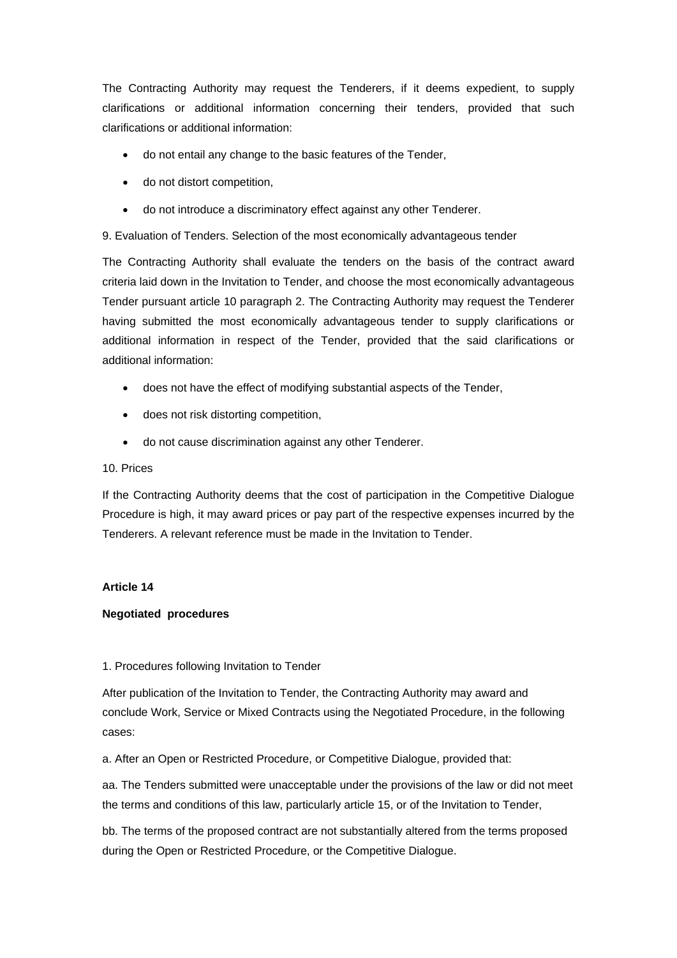The Contracting Authority may request the Tenderers, if it deems expedient, to supply clarifications or additional information concerning their tenders, provided that such clarifications or additional information:

- do not entail any change to the basic features of the Tender,
- do not distort competition,
- do not introduce a discriminatory effect against any other Tenderer.

9. Evaluation of Tenders. Selection of the most economically advantageous tender

The Contracting Authority shall evaluate the tenders on the basis of the contract award criteria laid down in the Invitation to Tender, and choose the most economically advantageous Tender pursuant article 10 paragraph 2. The Contracting Authority may request the Tenderer having submitted the most economically advantageous tender to supply clarifications or additional information in respect of the Tender, provided that the said clarifications or additional information:

- does not have the effect of modifying substantial aspects of the Tender,
- does not risk distorting competition,
- do not cause discrimination against any other Tenderer.

### 10. Prices

If the Contracting Authority deems that the cost of participation in the Competitive Dialogue Procedure is high, it may award prices or pay part of the respective expenses incurred by the Tenderers. A relevant reference must be made in the Invitation to Tender.

## **Article 14**

## **Negotiated procedures**

## 1. Procedures following Invitation to Tender

After publication of the Invitation to Tender, the Contracting Authority may award and conclude Work, Service or Mixed Contracts using the Negotiated Procedure, in the following cases:

a. After an Open or Restricted Procedure, or Competitive Dialogue, provided that:

aa. The Tenders submitted were unacceptable under the provisions of the law or did not meet the terms and conditions of this law, particularly article 15, or of the Invitation to Tender,

bb. The terms of the proposed contract are not substantially altered from the terms proposed during the Open or Restricted Procedure, or the Competitive Dialogue.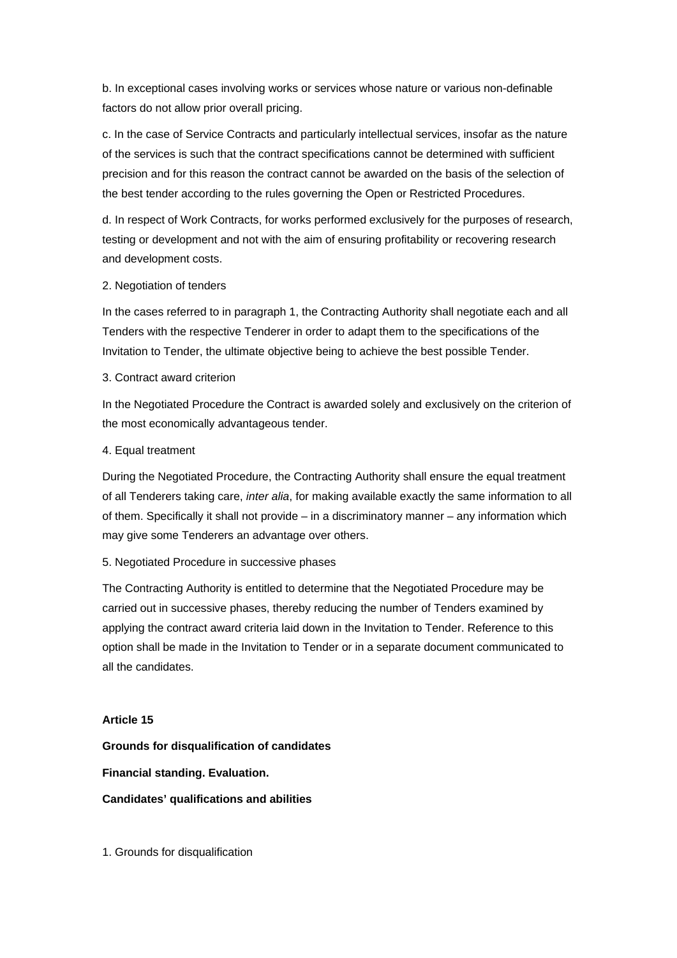b. In exceptional cases involving works or services whose nature or various non-definable factors do not allow prior overall pricing.

c. In the case of Service Contracts and particularly intellectual services, insofar as the nature of the services is such that the contract specifications cannot be determined with sufficient precision and for this reason the contract cannot be awarded on the basis of the selection of the best tender according to the rules governing the Open or Restricted Procedures.

d. In respect of Work Contracts, for works performed exclusively for the purposes of research, testing or development and not with the aim of ensuring profitability or recovering research and development costs.

### 2. Negotiation of tenders

In the cases referred to in paragraph 1, the Contracting Authority shall negotiate each and all Tenders with the respective Tenderer in order to adapt them to the specifications of the Invitation to Tender, the ultimate objective being to achieve the best possible Tender.

3. Contract award criterion

In the Negotiated Procedure the Contract is awarded solely and exclusively on the criterion of the most economically advantageous tender.

## 4. Equal treatment

During the Negotiated Procedure, the Contracting Authority shall ensure the equal treatment of all Tenderers taking care, *inter alia*, for making available exactly the same information to all of them. Specifically it shall not provide – in a discriminatory manner – any information which may give some Tenderers an advantage over others.

## 5. Negotiated Procedure in successive phases

The Contracting Authority is entitled to determine that the Negotiated Procedure may be carried out in successive phases, thereby reducing the number of Tenders examined by applying the contract award criteria laid down in the Invitation to Tender. Reference to this option shall be made in the Invitation to Tender or in a separate document communicated to all the candidates.

## **Article 15**

**Grounds for disqualification of candidates** 

**Financial standing. Evaluation.** 

## **Candidates' qualifications and abilities**

1. Grounds for disqualification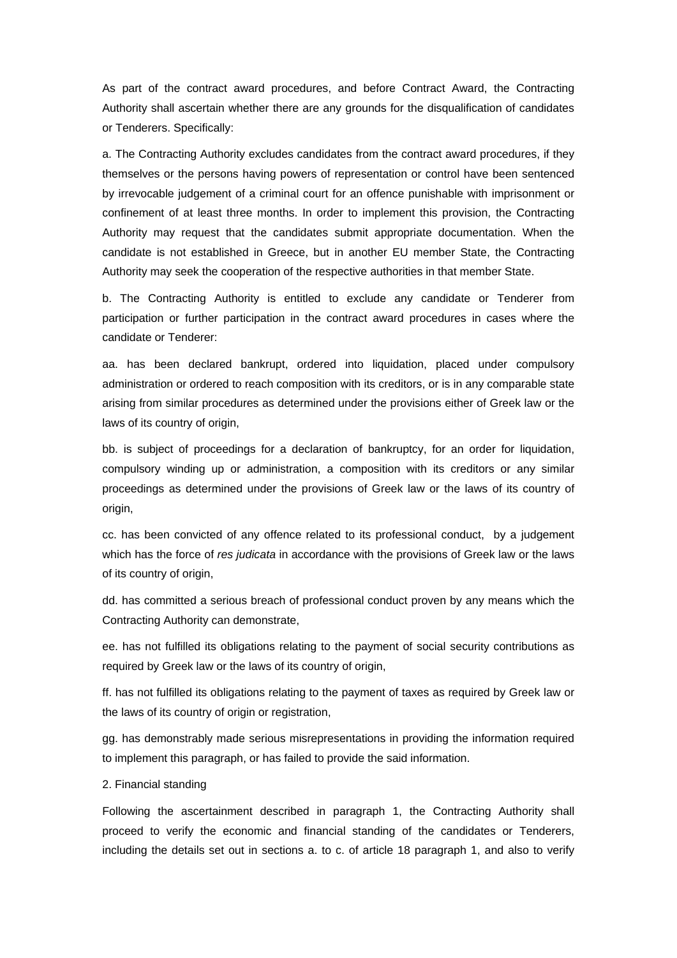As part of the contract award procedures, and before Contract Award, the Contracting Authority shall ascertain whether there are any grounds for the disqualification of candidates or Tenderers. Specifically:

a. The Contracting Authority excludes candidates from the contract award procedures, if they themselves or the persons having powers of representation or control have been sentenced by irrevocable judgement of a criminal court for an offence punishable with imprisonment or confinement of at least three months. In order to implement this provision, the Contracting Authority may request that the candidates submit appropriate documentation. When the candidate is not established in Greece, but in another EU member State, the Contracting Authority may seek the cooperation of the respective authorities in that member State.

b. The Contracting Authority is entitled to exclude any candidate or Tenderer from participation or further participation in the contract award procedures in cases where the candidate or Tenderer:

aa. has been declared bankrupt, ordered into liquidation, placed under compulsory administration or ordered to reach composition with its creditors, or is in any comparable state arising from similar procedures as determined under the provisions either of Greek law or the laws of its country of origin.

bb. is subject of proceedings for a declaration of bankruptcy, for an order for liquidation, compulsory winding up or administration, a composition with its creditors or any similar proceedings as determined under the provisions of Greek law or the laws of its country of origin,

cc. has been convicted of any offence related to its professional conduct, by a judgement which has the force of *res judicata* in accordance with the provisions of Greek law or the laws of its country of origin,

dd. has committed a serious breach of professional conduct proven by any means which the Contracting Authority can demonstrate,

ee. has not fulfilled its obligations relating to the payment of social security contributions as required by Greek law or the laws of its country of origin,

ff. has not fulfilled its obligations relating to the payment of taxes as required by Greek law or the laws of its country of origin or registration,

gg. has demonstrably made serious misrepresentations in providing the information required to implement this paragraph, or has failed to provide the said information.

#### 2. Financial standing

Following the ascertainment described in paragraph 1, the Contracting Authority shall proceed to verify the economic and financial standing of the candidates or Tenderers, including the details set out in sections a. to c. of article 18 paragraph 1, and also to verify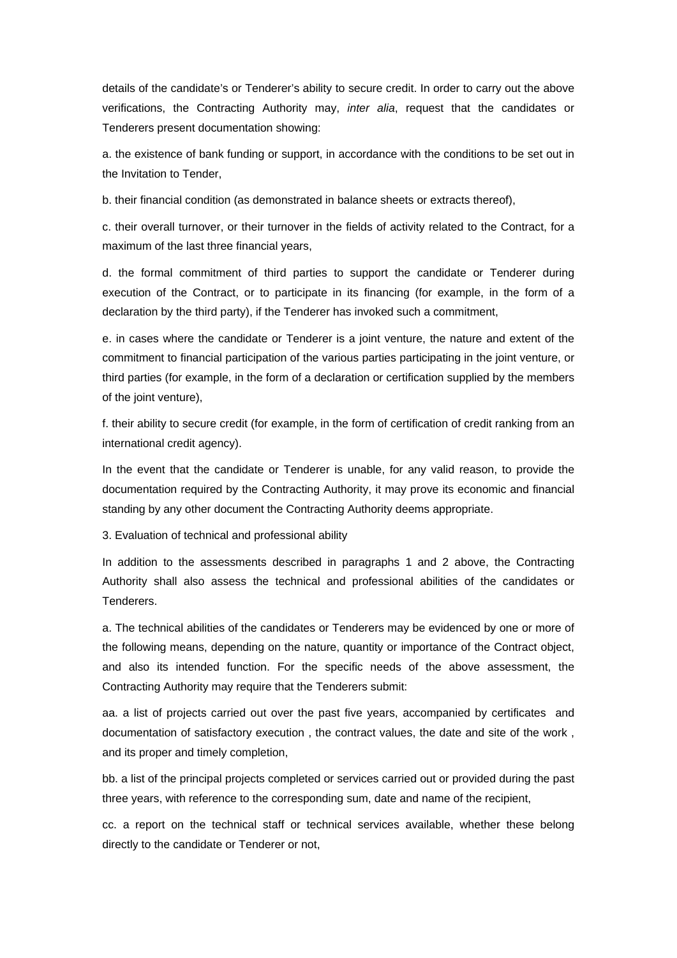details of the candidate's or Tenderer's ability to secure credit. In order to carry out the above verifications, the Contracting Authority may, *inter alia*, request that the candidates or Tenderers present documentation showing:

a. the existence of bank funding or support, in accordance with the conditions to be set out in the Invitation to Tender,

b. their financial condition (as demonstrated in balance sheets or extracts thereof),

c. their overall turnover, or their turnover in the fields of activity related to the Contract, for a maximum of the last three financial years,

d. the formal commitment of third parties to support the candidate or Tenderer during execution of the Contract, or to participate in its financing (for example, in the form of a declaration by the third party), if the Tenderer has invoked such a commitment,

e. in cases where the candidate or Tenderer is a joint venture, the nature and extent of the commitment to financial participation of the various parties participating in the joint venture, or third parties (for example, in the form of a declaration or certification supplied by the members of the joint venture),

f. their ability to secure credit (for example, in the form of certification of credit ranking from an international credit agency).

In the event that the candidate or Tenderer is unable, for any valid reason, to provide the documentation required by the Contracting Authority, it may prove its economic and financial standing by any other document the Contracting Authority deems appropriate.

3. Evaluation of technical and professional ability

In addition to the assessments described in paragraphs 1 and 2 above, the Contracting Authority shall also assess the technical and professional abilities of the candidates or Tenderers.

a. The technical abilities of the candidates or Tenderers may be evidenced by one or more of the following means, depending on the nature, quantity or importance of the Contract object, and also its intended function. For the specific needs of the above assessment, the Contracting Authority may require that the Tenderers submit:

aa. a list of projects carried out over the past five years, accompanied by certificates and documentation of satisfactory execution , the contract values, the date and site of the work , and its proper and timely completion,

bb. a list of the principal projects completed or services carried out or provided during the past three years, with reference to the corresponding sum, date and name of the recipient,

cc. a report on the technical staff or technical services available, whether these belong directly to the candidate or Tenderer or not,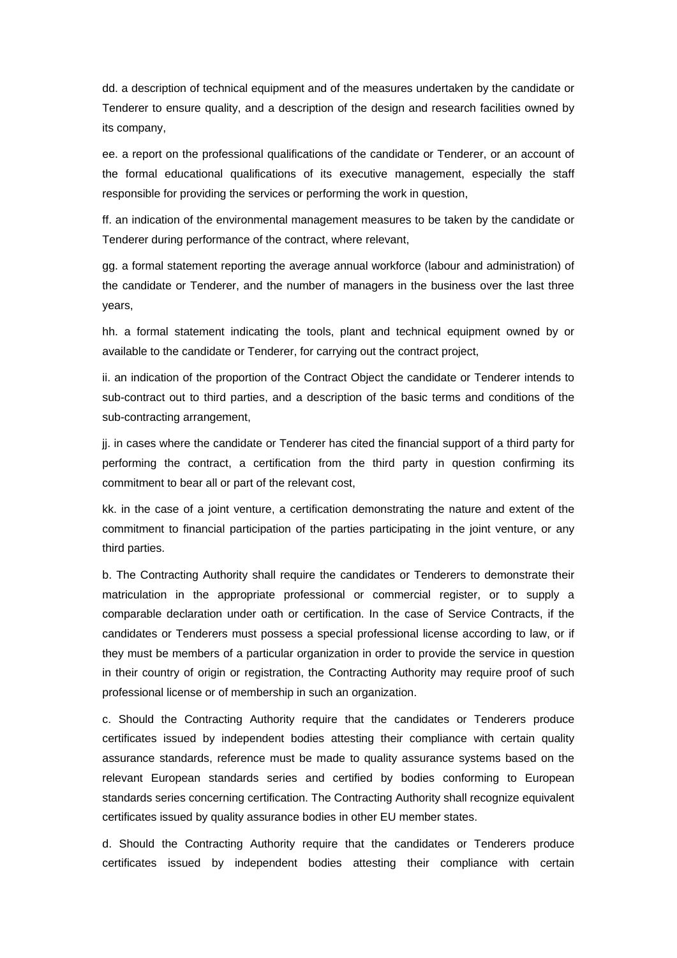dd. a description of technical equipment and of the measures undertaken by the candidate or Tenderer to ensure quality, and a description of the design and research facilities owned by its company,

ee. a report on the professional qualifications of the candidate or Tenderer, or an account of the formal educational qualifications of its executive management, especially the staff responsible for providing the services or performing the work in question,

ff. an indication of the environmental management measures to be taken by the candidate or Tenderer during performance of the contract, where relevant,

gg. a formal statement reporting the average annual workforce (labour and administration) of the candidate or Tenderer, and the number of managers in the business over the last three years,

hh. a formal statement indicating the tools, plant and technical equipment owned by or available to the candidate or Tenderer, for carrying out the contract project,

ii. an indication of the proportion of the Contract Object the candidate or Tenderer intends to sub-contract out to third parties, and a description of the basic terms and conditions of the sub-contracting arrangement,

jj. in cases where the candidate or Tenderer has cited the financial support of a third party for performing the contract, a certification from the third party in question confirming its commitment to bear all or part of the relevant cost,

kk. in the case of a joint venture, a certification demonstrating the nature and extent of the commitment to financial participation of the parties participating in the joint venture, or any third parties.

b. The Contracting Authority shall require the candidates or Tenderers to demonstrate their matriculation in the appropriate professional or commercial register, or to supply a comparable declaration under oath or certification. In the case of Service Contracts, if the candidates or Tenderers must possess a special professional license according to law, or if they must be members of a particular organization in order to provide the service in question in their country of origin or registration, the Contracting Authority may require proof of such professional license or of membership in such an organization.

c. Should the Contracting Authority require that the candidates or Tenderers produce certificates issued by independent bodies attesting their compliance with certain quality assurance standards, reference must be made to quality assurance systems based on the relevant European standards series and certified by bodies conforming to European standards series concerning certification. The Contracting Authority shall recognize equivalent certificates issued by quality assurance bodies in other EU member states.

d. Should the Contracting Authority require that the candidates or Tenderers produce certificates issued by independent bodies attesting their compliance with certain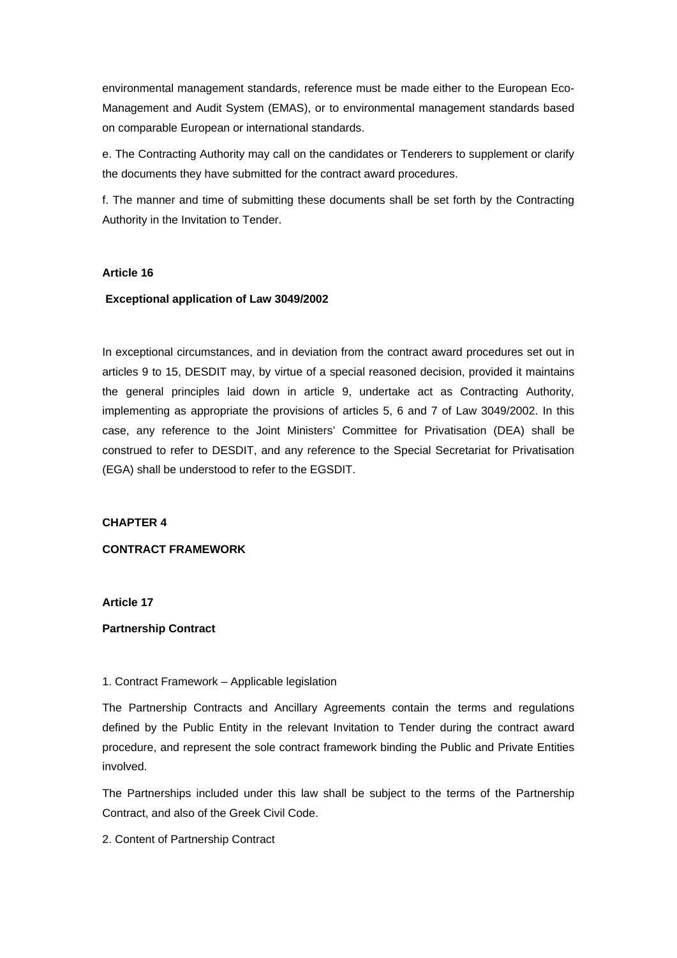environmental management standards, reference must be made either to the European Eco-Management and Audit System (EMAS), or to environmental management standards based on comparable European or international standards.

e. The Contracting Authority may call on the candidates or Tenderers to supplement or clarify the documents they have submitted for the contract award procedures.

f. The manner and time of submitting these documents shall be set forth by the Contracting Authority in the Invitation to Tender.

## **Article 16**

## **Exceptional application of Law 3049/2002**

In exceptional circumstances, and in deviation from the contract award procedures set out in articles 9 to 15, DESDIT may, by virtue of a special reasoned decision, provided it maintains the general principles laid down in article 9, undertake act as Contracting Authority, implementing as appropriate the provisions of articles 5, 6 and 7 of Law 3049/2002. In this case, any reference to the Joint Ministers' Committee for Privatisation (DEA) shall be construed to refer to DESDIT, and any reference to the Special Secretariat for Privatisation (EGA) shall be understood to refer to the EGSDIT.

## **CHAPTER 4**

### **CONTRACT FRAMEWORK**

**Article 17** 

## **Partnership Contract**

## 1. Contract Framework – Applicable legislation

The Partnership Contracts and Ancillary Agreements contain the terms and regulations defined by the Public Entity in the relevant Invitation to Tender during the contract award procedure, and represent the sole contract framework binding the Public and Private Entities involved.

The Partnerships included under this law shall be subject to the terms of the Partnership Contract, and also of the Greek Civil Code.

## 2. Content of Partnership Contract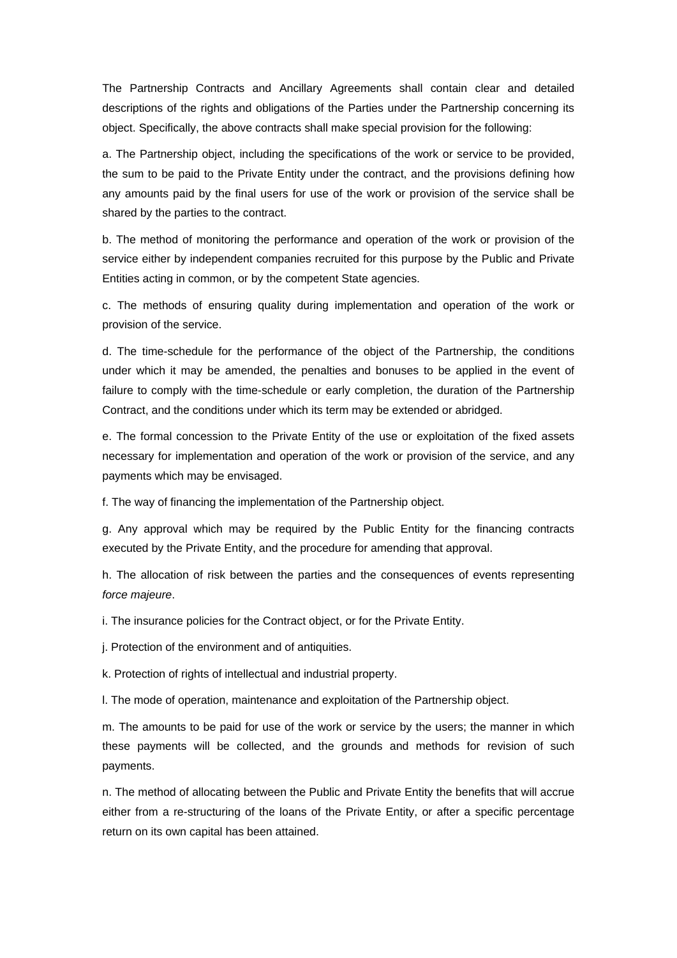The Partnership Contracts and Ancillary Agreements shall contain clear and detailed descriptions of the rights and obligations of the Parties under the Partnership concerning its object. Specifically, the above contracts shall make special provision for the following:

a. The Partnership object, including the specifications of the work or service to be provided, the sum to be paid to the Private Entity under the contract, and the provisions defining how any amounts paid by the final users for use of the work or provision of the service shall be shared by the parties to the contract.

b. The method of monitoring the performance and operation of the work or provision of the service either by independent companies recruited for this purpose by the Public and Private Entities acting in common, or by the competent State agencies.

c. The methods of ensuring quality during implementation and operation of the work or provision of the service.

d. The time-schedule for the performance of the object of the Partnership, the conditions under which it may be amended, the penalties and bonuses to be applied in the event of failure to comply with the time-schedule or early completion, the duration of the Partnership Contract, and the conditions under which its term may be extended or abridged.

e. The formal concession to the Private Entity of the use or exploitation of the fixed assets necessary for implementation and operation of the work or provision of the service, and any payments which may be envisaged.

f. The way of financing the implementation of the Partnership object.

g. Any approval which may be required by the Public Entity for the financing contracts executed by the Private Entity, and the procedure for amending that approval.

h. The allocation of risk between the parties and the consequences of events representing *force majeure*.

i. The insurance policies for the Contract object, or for the Private Entity.

j. Protection of the environment and of antiquities.

k. Protection of rights of intellectual and industrial property.

l. The mode of operation, maintenance and exploitation of the Partnership object.

m. The amounts to be paid for use of the work or service by the users; the manner in which these payments will be collected, and the grounds and methods for revision of such payments.

n. The method of allocating between the Public and Private Entity the benefits that will accrue either from a re-structuring of the loans of the Private Entity, or after a specific percentage return on its own capital has been attained.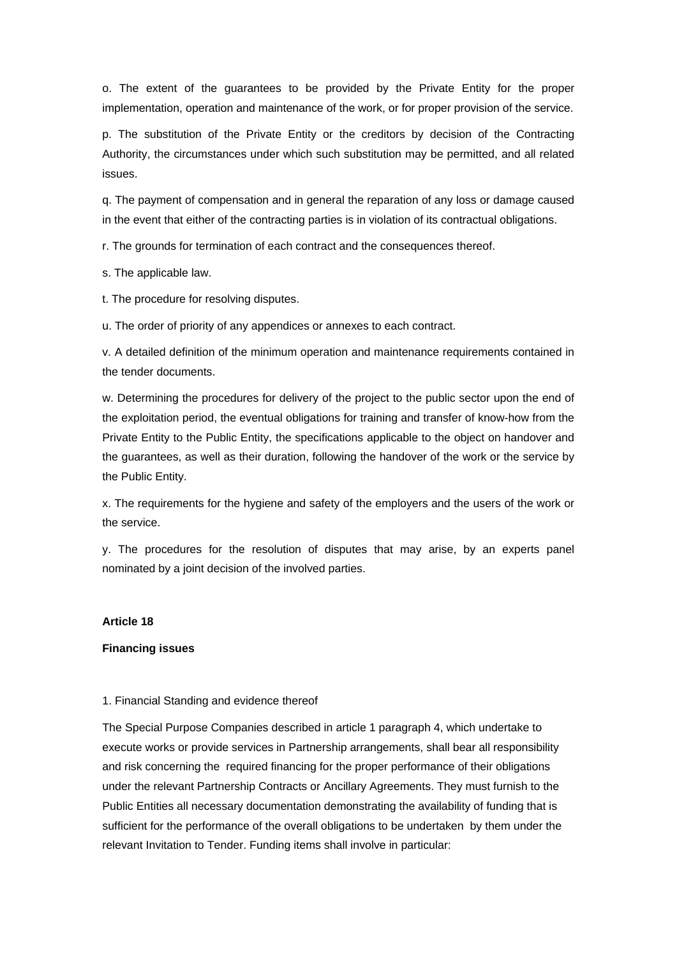o. The extent of the guarantees to be provided by the Private Entity for the proper implementation, operation and maintenance of the work, or for proper provision of the service.

p. The substitution of the Private Entity or the creditors by decision of the Contracting Authority, the circumstances under which such substitution may be permitted, and all related issues.

q. The payment of compensation and in general the reparation of any loss or damage caused in the event that either of the contracting parties is in violation of its contractual obligations.

r. The grounds for termination of each contract and the consequences thereof.

s. The applicable law.

t. The procedure for resolving disputes.

u. The order of priority of any appendices or annexes to each contract.

v. A detailed definition of the minimum operation and maintenance requirements contained in the tender documents.

w. Determining the procedures for delivery of the project to the public sector upon the end of the exploitation period, the eventual obligations for training and transfer of know-how from the Private Entity to the Public Entity, the specifications applicable to the object on handover and the guarantees, as well as their duration, following the handover of the work or the service by the Public Entity.

x. The requirements for the hygiene and safety of the employers and the users of the work or the service.

y. The procedures for the resolution of disputes that may arise, by an experts panel nominated by a joint decision of the involved parties.

### **Article 18**

#### **Financing issues**

### 1. Financial Standing and evidence thereof

The Special Purpose Companies described in article 1 paragraph 4, which undertake to execute works or provide services in Partnership arrangements, shall bear all responsibility and risk concerning the required financing for the proper performance of their obligations under the relevant Partnership Contracts or Ancillary Agreements. They must furnish to the Public Entities all necessary documentation demonstrating the availability of funding that is sufficient for the performance of the overall obligations to be undertaken by them under the relevant Invitation to Tender. Funding items shall involve in particular: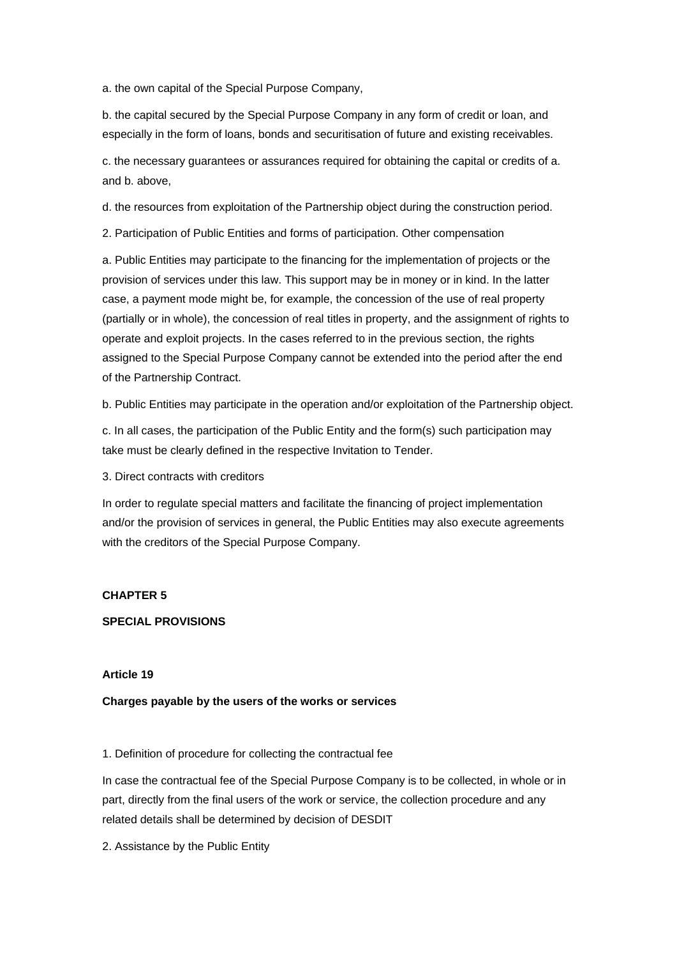a. the own capital of the Special Purpose Company,

b. the capital secured by the Special Purpose Company in any form of credit or loan, and especially in the form of loans, bonds and securitisation of future and existing receivables.

c. the necessary guarantees or assurances required for obtaining the capital or credits of a. and b. above,

d. the resources from exploitation of the Partnership object during the construction period.

2. Participation of Public Entities and forms of participation. Other compensation

a. Public Entities may participate to the financing for the implementation of projects or the provision of services under this law. This support may be in money or in kind. In the latter case, a payment mode might be, for example, the concession of the use of real property (partially or in whole), the concession of real titles in property, and the assignment of rights to operate and exploit projects. In the cases referred to in the previous section, the rights assigned to the Special Purpose Company cannot be extended into the period after the end of the Partnership Contract.

b. Public Entities may participate in the operation and/or exploitation of the Partnership object.

c. In all cases, the participation of the Public Entity and the form(s) such participation may take must be clearly defined in the respective Invitation to Tender.

3. Direct contracts with creditors

In order to regulate special matters and facilitate the financing of project implementation and/or the provision of services in general, the Public Entities may also execute agreements with the creditors of the Special Purpose Company.

## **CHAPTER 5**

**SPECIAL PROVISIONS** 

#### **Article 19**

**Charges payable by the users of the works or services** 

1. Definition of procedure for collecting the contractual fee

In case the contractual fee of the Special Purpose Company is to be collected, in whole or in part, directly from the final users of the work or service, the collection procedure and any related details shall be determined by decision of DESDIT

2. Assistance by the Public Entity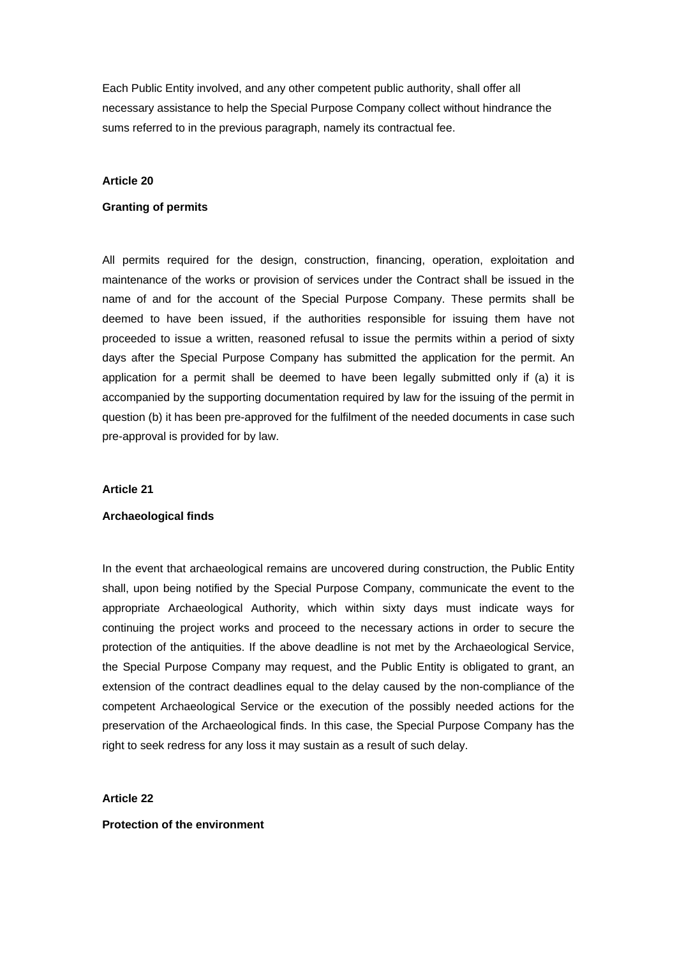Each Public Entity involved, and any other competent public authority, shall offer all necessary assistance to help the Special Purpose Company collect without hindrance the sums referred to in the previous paragraph, namely its contractual fee.

### **Article 20**

#### **Granting of permits**

All permits required for the design, construction, financing, operation, exploitation and maintenance of the works or provision of services under the Contract shall be issued in the name of and for the account of the Special Purpose Company. These permits shall be deemed to have been issued, if the authorities responsible for issuing them have not proceeded to issue a written, reasoned refusal to issue the permits within a period of sixty days after the Special Purpose Company has submitted the application for the permit. An application for a permit shall be deemed to have been legally submitted only if (a) it is accompanied by the supporting documentation required by law for the issuing of the permit in question (b) it has been pre-approved for the fulfilment of the needed documents in case such pre-approval is provided for by law.

#### **Article 21**

#### **Archaeological finds**

In the event that archaeological remains are uncovered during construction, the Public Entity shall, upon being notified by the Special Purpose Company, communicate the event to the appropriate Archaeological Authority, which within sixty days must indicate ways for continuing the project works and proceed to the necessary actions in order to secure the protection of the antiquities. If the above deadline is not met by the Archaeological Service, the Special Purpose Company may request, and the Public Entity is obligated to grant, an extension of the contract deadlines equal to the delay caused by the non-compliance of the competent Archaeological Service or the execution of the possibly needed actions for the preservation of the Archaeological finds. In this case, the Special Purpose Company has the right to seek redress for any loss it may sustain as a result of such delay.

#### **Article 22**

#### **Protection of the environment**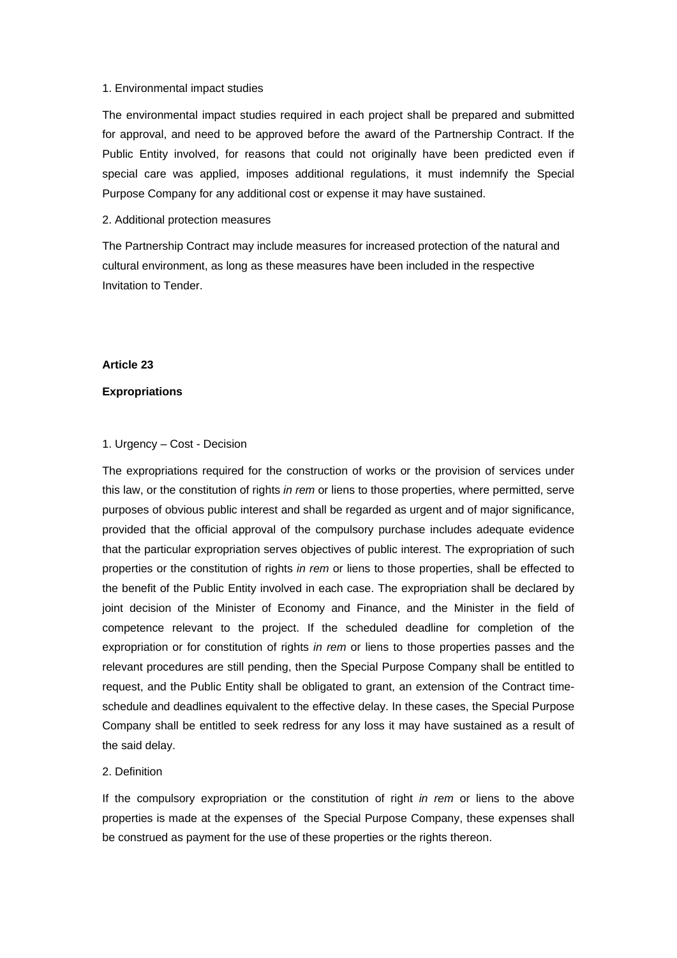#### 1. Environmental impact studies

The environmental impact studies required in each project shall be prepared and submitted for approval, and need to be approved before the award of the Partnership Contract. If the Public Entity involved, for reasons that could not originally have been predicted even if special care was applied, imposes additional regulations, it must indemnify the Special Purpose Company for any additional cost or expense it may have sustained.

#### 2. Additional protection measures

The Partnership Contract may include measures for increased protection of the natural and cultural environment, as long as these measures have been included in the respective Invitation to Tender.

### **Article 23**

### **Expropriations**

#### 1. Urgency – Cost - Decision

The expropriations required for the construction of works or the provision of services under this law, or the constitution of rights *in rem* or liens to those properties, where permitted, serve purposes of obvious public interest and shall be regarded as urgent and of major significance, provided that the official approval of the compulsory purchase includes adequate evidence that the particular expropriation serves objectives of public interest. The expropriation of such properties or the constitution of rights *in rem* or liens to those properties, shall be effected to the benefit of the Public Entity involved in each case. The expropriation shall be declared by joint decision of the Minister of Economy and Finance, and the Minister in the field of competence relevant to the project. If the scheduled deadline for completion of the expropriation or for constitution of rights *in rem* or liens to those properties passes and the relevant procedures are still pending, then the Special Purpose Company shall be entitled to request, and the Public Entity shall be obligated to grant, an extension of the Contract timeschedule and deadlines equivalent to the effective delay. In these cases, the Special Purpose Company shall be entitled to seek redress for any loss it may have sustained as a result of the said delay.

### 2. Definition

If the compulsory expropriation or the constitution of right *in rem* or liens to the above properties is made at the expenses of the Special Purpose Company, these expenses shall be construed as payment for the use of these properties or the rights thereon.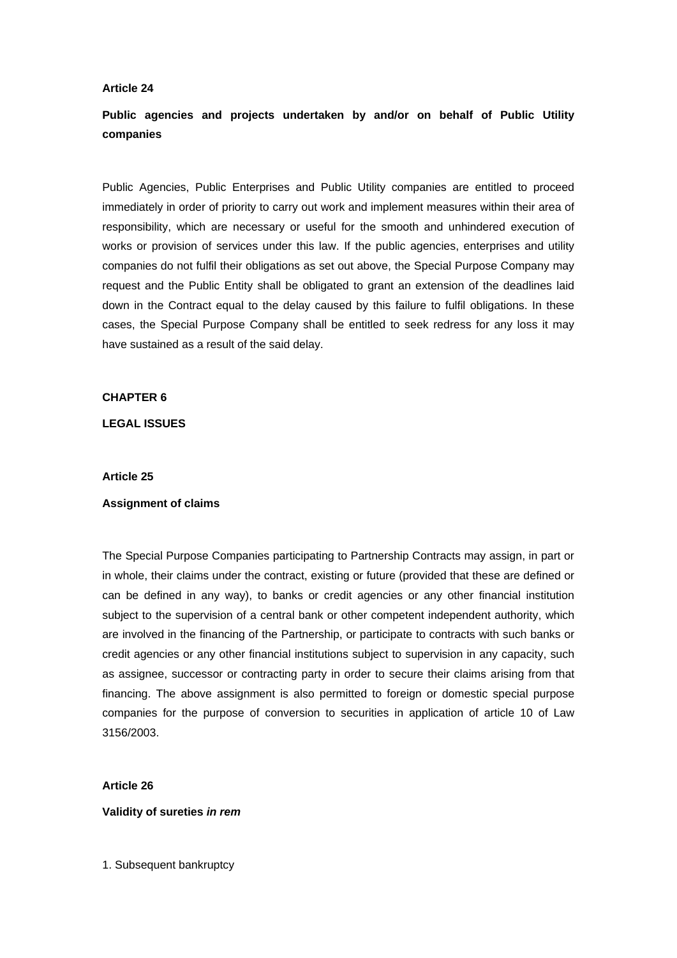## **Article 24**

# **Public agencies and projects undertaken by and/or on behalf of Public Utility companies**

Public Agencies, Public Enterprises and Public Utility companies are entitled to proceed immediately in order of priority to carry out work and implement measures within their area of responsibility, which are necessary or useful for the smooth and unhindered execution of works or provision of services under this law. If the public agencies, enterprises and utility companies do not fulfil their obligations as set out above, the Special Purpose Company may request and the Public Entity shall be obligated to grant an extension of the deadlines laid down in the Contract equal to the delay caused by this failure to fulfil obligations. In these cases, the Special Purpose Company shall be entitled to seek redress for any loss it may have sustained as a result of the said delay.

## **CHAPTER 6**

#### **LEGAL ISSUES**

#### **Article 25**

### **Assignment of claims**

The Special Purpose Companies participating to Partnership Contracts may assign, in part or in whole, their claims under the contract, existing or future (provided that these are defined or can be defined in any way), to banks or credit agencies or any other financial institution subject to the supervision of a central bank or other competent independent authority, which are involved in the financing of the Partnership, or participate to contracts with such banks or credit agencies or any other financial institutions subject to supervision in any capacity, such as assignee, successor or contracting party in order to secure their claims arising from that financing. The above assignment is also permitted to foreign or domestic special purpose companies for the purpose of conversion to securities in application of article 10 of Law 3156/2003.

#### **Article 26**

#### **Validity of sureties** *in rem*

1. Subsequent bankruptcy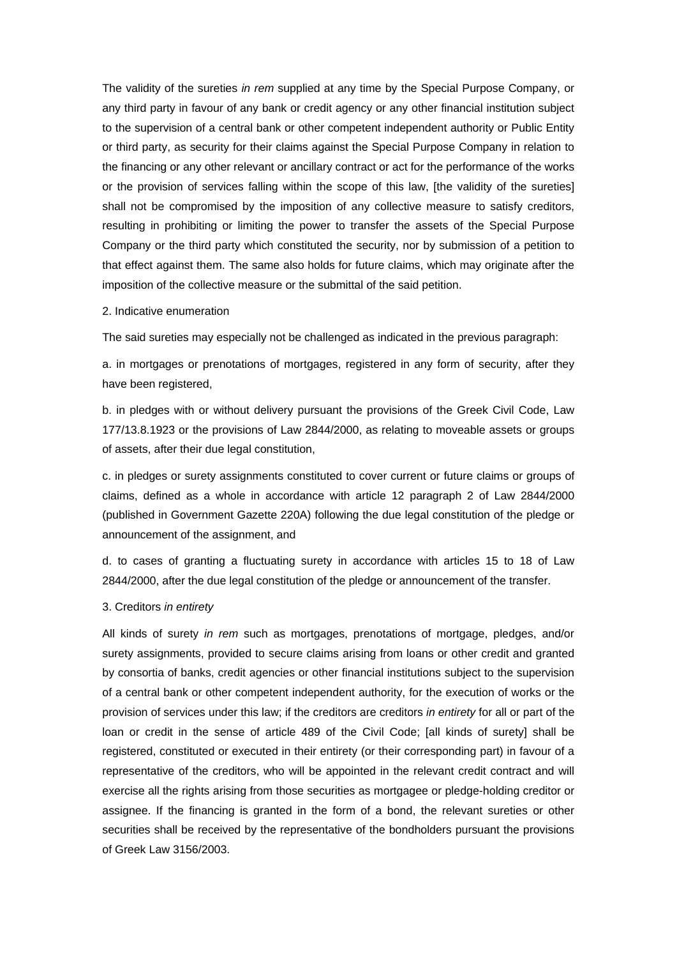The validity of the sureties *in rem* supplied at any time by the Special Purpose Company, or any third party in favour of any bank or credit agency or any other financial institution subject to the supervision of a central bank or other competent independent authority or Public Entity or third party, as security for their claims against the Special Purpose Company in relation to the financing or any other relevant or ancillary contract or act for the performance of the works or the provision of services falling within the scope of this law, [the validity of the sureties] shall not be compromised by the imposition of any collective measure to satisfy creditors, resulting in prohibiting or limiting the power to transfer the assets of the Special Purpose Company or the third party which constituted the security, nor by submission of a petition to that effect against them. The same also holds for future claims, which may originate after the imposition of the collective measure or the submittal of the said petition.

#### 2. Indicative enumeration

The said sureties may especially not be challenged as indicated in the previous paragraph:

a. in mortgages or prenotations of mortgages, registered in any form of security, after they have been registered.

b. in pledges with or without delivery pursuant the provisions of the Greek Civil Code, Law 177/13.8.1923 or the provisions of Law 2844/2000, as relating to moveable assets or groups of assets, after their due legal constitution,

c. in pledges or surety assignments constituted to cover current or future claims or groups of claims, defined as a whole in accordance with article 12 paragraph 2 of Law 2844/2000 (published in Government Gazette 220A) following the due legal constitution of the pledge or announcement of the assignment, and

d. to cases of granting a fluctuating surety in accordance with articles 15 to 18 of Law 2844/2000, after the due legal constitution of the pledge or announcement of the transfer.

### 3. Creditors *in entirety*

All kinds of surety *in rem* such as mortgages, prenotations of mortgage, pledges, and/or surety assignments, provided to secure claims arising from loans or other credit and granted by consortia of banks, credit agencies or other financial institutions subject to the supervision of a central bank or other competent independent authority, for the execution of works or the provision of services under this law; if the creditors are creditors *in entirety* for all or part of the loan or credit in the sense of article 489 of the Civil Code; [all kinds of surety] shall be registered, constituted or executed in their entirety (or their corresponding part) in favour of a representative of the creditors, who will be appointed in the relevant credit contract and will exercise all the rights arising from those securities as mortgagee or pledge-holding creditor or assignee. If the financing is granted in the form of a bond, the relevant sureties or other securities shall be received by the representative of the bondholders pursuant the provisions of Greek Law 3156/2003.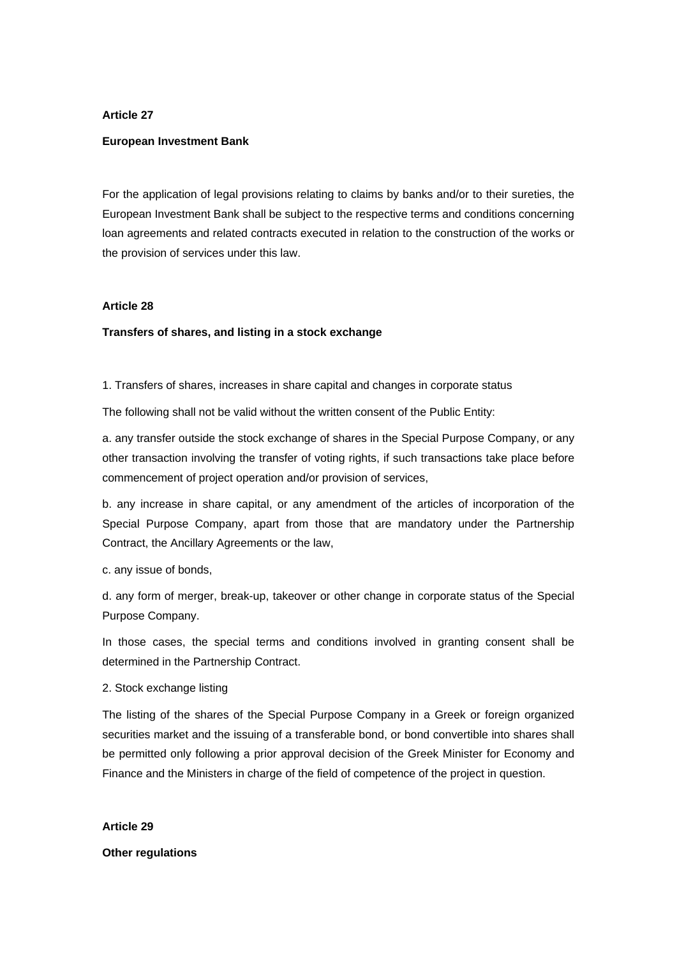### **Article 27**

#### **European Investment Bank**

For the application of legal provisions relating to claims by banks and/or to their sureties, the European Investment Bank shall be subject to the respective terms and conditions concerning loan agreements and related contracts executed in relation to the construction of the works or the provision of services under this law.

## **Article 28**

### **Transfers of shares, and listing in a stock exchange**

1. Transfers of shares, increases in share capital and changes in corporate status

The following shall not be valid without the written consent of the Public Entity:

a. any transfer outside the stock exchange of shares in the Special Purpose Company, or any other transaction involving the transfer of voting rights, if such transactions take place before commencement of project operation and/or provision of services,

b. any increase in share capital, or any amendment of the articles of incorporation of the Special Purpose Company, apart from those that are mandatory under the Partnership Contract, the Ancillary Agreements or the law,

c. any issue of bonds,

d. any form of merger, break-up, takeover or other change in corporate status of the Special Purpose Company.

In those cases, the special terms and conditions involved in granting consent shall be determined in the Partnership Contract.

#### 2. Stock exchange listing

The listing of the shares of the Special Purpose Company in a Greek or foreign organized securities market and the issuing of a transferable bond, or bond convertible into shares shall be permitted only following a prior approval decision of the Greek Minister for Economy and Finance and the Ministers in charge of the field of competence of the project in question.

**Article 29** 

**Other regulations**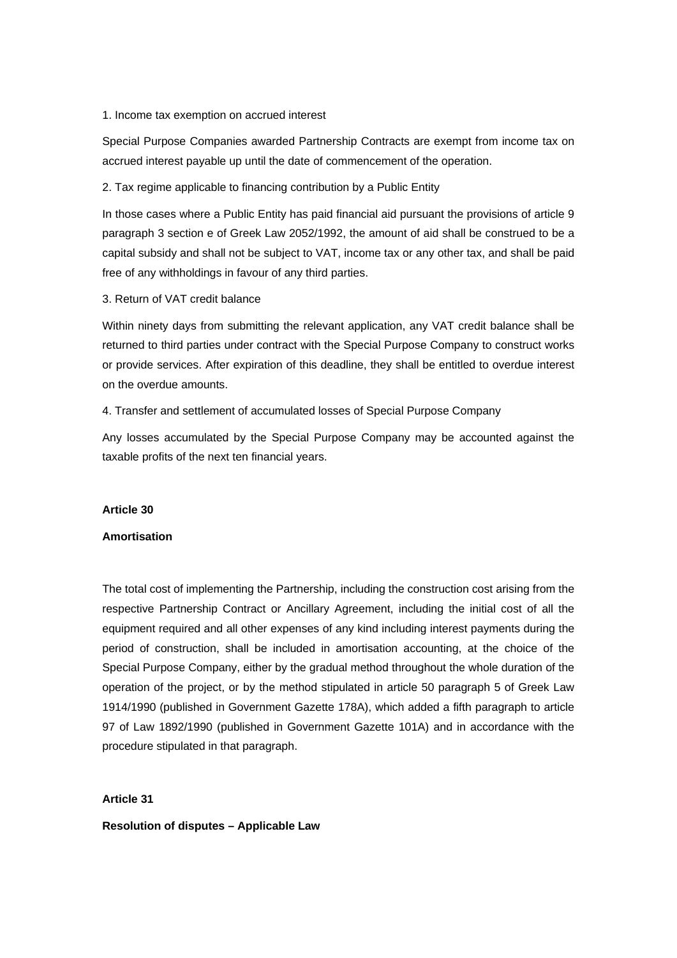### 1. Income tax exemption on accrued interest

Special Purpose Companies awarded Partnership Contracts are exempt from income tax on accrued interest payable up until the date of commencement of the operation.

2. Tax regime applicable to financing contribution by a Public Entity

In those cases where a Public Entity has paid financial aid pursuant the provisions of article 9 paragraph 3 section e of Greek Law 2052/1992, the amount of aid shall be construed to be a capital subsidy and shall not be subject to VAT, income tax or any other tax, and shall be paid free of any withholdings in favour of any third parties.

3. Return of VAT credit balance

Within ninety days from submitting the relevant application, any VAT credit balance shall be returned to third parties under contract with the Special Purpose Company to construct works or provide services. After expiration of this deadline, they shall be entitled to overdue interest on the overdue amounts.

4. Transfer and settlement of accumulated losses of Special Purpose Company

Any losses accumulated by the Special Purpose Company may be accounted against the taxable profits of the next ten financial years.

#### **Article 30**

### **Amortisation**

The total cost of implementing the Partnership, including the construction cost arising from the respective Partnership Contract or Ancillary Agreement, including the initial cost of all the equipment required and all other expenses of any kind including interest payments during the period of construction, shall be included in amortisation accounting, at the choice of the Special Purpose Company, either by the gradual method throughout the whole duration of the operation of the project, or by the method stipulated in article 50 paragraph 5 of Greek Law 1914/1990 (published in Government Gazette 178A), which added a fifth paragraph to article 97 of Law 1892/1990 (published in Government Gazette 101A) and in accordance with the procedure stipulated in that paragraph.

## **Article 31**

**Resolution of disputes – Applicable Law**